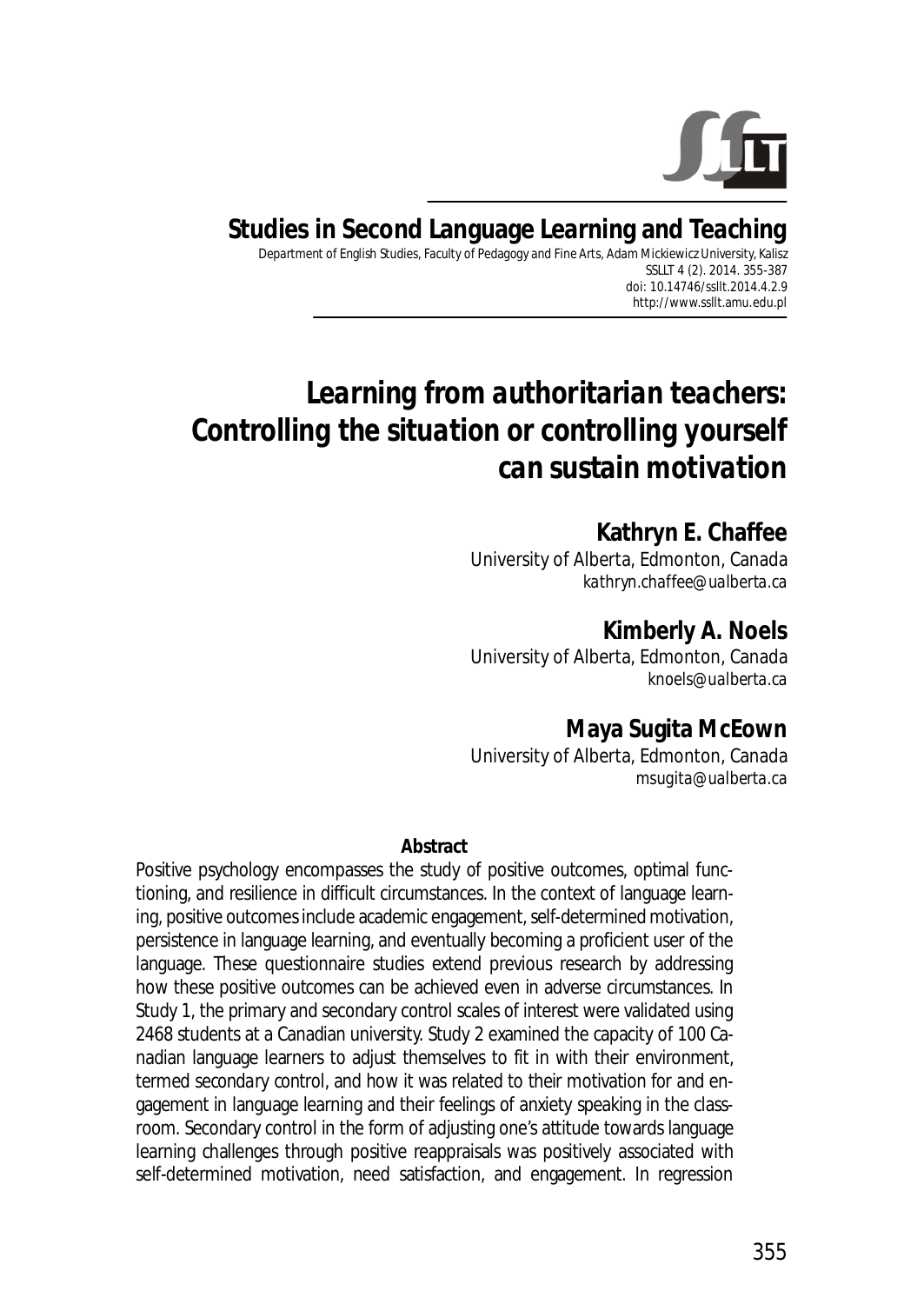

# **Studies in Second Language Learning and Teaching**

Department of English Studies, Faculty of Pedagogy and Fine Arts, Adam Mickiewicz University, Kalisz SSLLT 4 (2). 2014. 355-387 *doi: 10.14746/ssllt.2014.4.2.9* http://www.ssllt.amu.edu.pl

# *Learning from authoritarian teachers: Controlling the situation or controlling yourself can sustain motivation*

**Kathryn E. Chaffee**  University of Alberta, Edmonton, Canada *kathryn.chaffee@ualberta.ca* 

**Kimberly A. Noels**  University of Alberta, Edmonton, Canada *knoels@ualberta.ca*

**Maya Sugita McEown** 

University of Alberta, Edmonton, Canada *msugita@ualberta.ca*

#### **Abstract**

Positive psychology encompasses the study of positive outcomes, optimal functioning, and resilience in difficult circumstances. In the context of language learning, positive outcomes include academic engagement, self-determined motivation, persistence in language learning, and eventually becoming a proficient user of the language. These questionnaire studies extend previous research by addressing how these positive outcomes can be achieved even in adverse circumstances. In Study 1, the primary and secondary control scales of interest were validated using 2468 students at a Canadian university. Study 2 examined the capacity of 100 Canadian language learners to adjust themselves to fit in with their environment, termed *secondary control*, and how it was related to their motivation for and engagement in language learning and their feelings of anxiety speaking in the classroom. Secondary control in the form of adjusting one's attitude towards language learning challenges through positive reappraisals was positively associated with self-determined motivation, need satisfaction, and engagement. In regression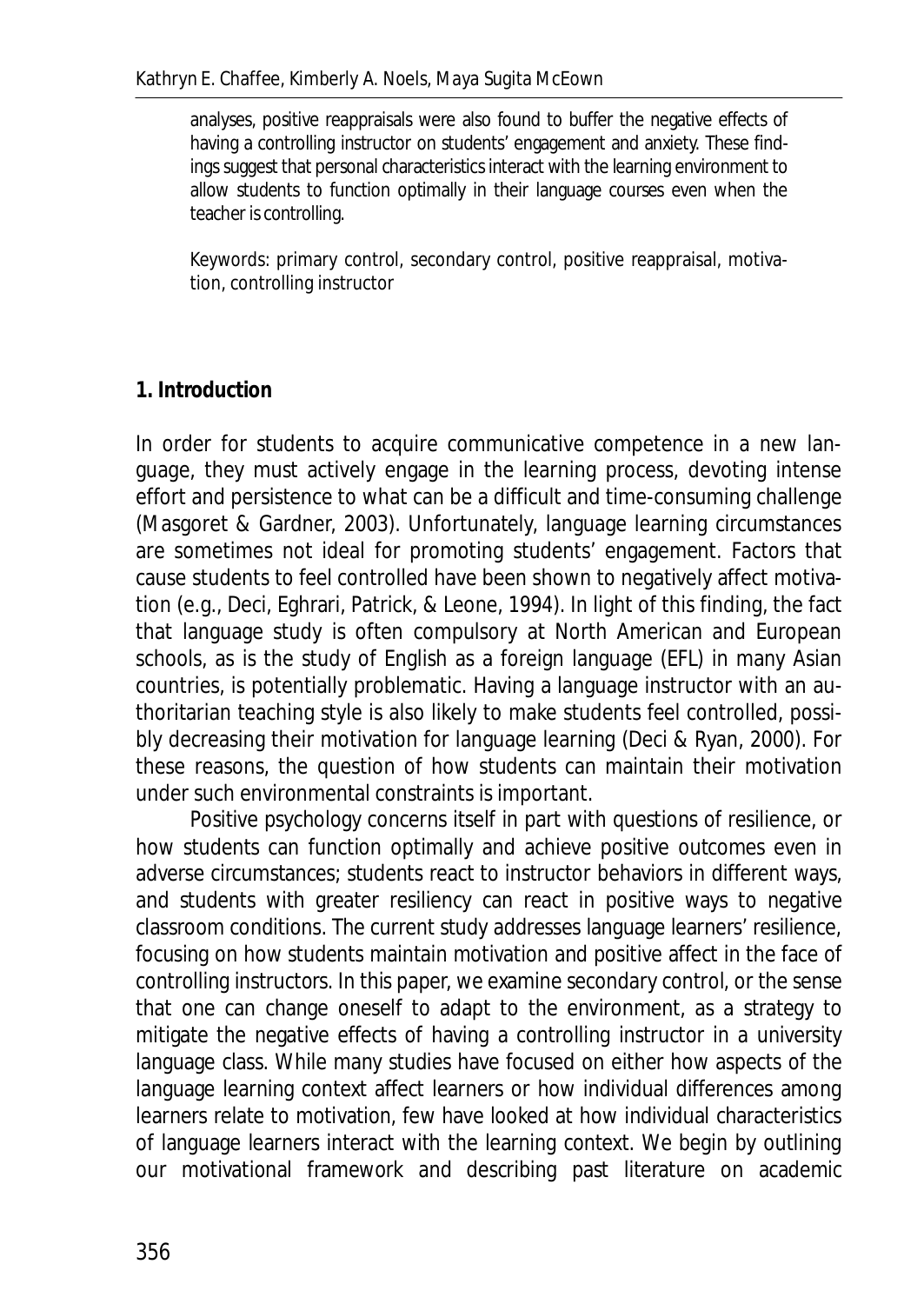analyses, positive reappraisals were also found to buffer the negative effects of having a controlling instructor on students' engagement and anxiety. These findings suggest that personal characteristics interact with the learning environment to allow students to function optimally in their language courses even when the teacher is controlling.

*Keywords*: primary control, secondary control, positive reappraisal, motivation, controlling instructor

## **1. Introduction**

In order for students to acquire communicative competence in a new language, they must actively engage in the learning process, devoting intense effort and persistence to what can be a difficult and time-consuming challenge (Masgoret & Gardner, 2003). Unfortunately, language learning circumstances are sometimes not ideal for promoting students' engagement. Factors that cause students to feel controlled have been shown to negatively affect motivation (e.g., Deci, Eghrari, Patrick, & Leone, 1994). In light of this finding, the fact that language study is often compulsory at North American and European schools, as is the study of English as a foreign language (EFL) in many Asian countries, is potentially problematic. Having a language instructor with an authoritarian teaching style is also likely to make students feel controlled, possibly decreasing their motivation for language learning (Deci & Ryan, 2000). For these reasons, the question of how students can maintain their motivation under such environmental constraints is important.

Positive psychology concerns itself in part with questions of resilience, or how students can function optimally and achieve positive outcomes even in adverse circumstances; students react to instructor behaviors in different ways, and students with greater resiliency can react in positive ways to negative classroom conditions. The current study addresses language learners' resilience, focusing on how students maintain motivation and positive affect in the face of controlling instructors. In this paper, we examine secondary control, or the sense that one can change oneself to adapt to the environment, as a strategy to mitigate the negative effects of having a controlling instructor in a university language class. While many studies have focused on either how aspects of the language learning context affect learners or how individual differences among learners relate to motivation, few have looked at how individual characteristics of language learners interact with the learning context. We begin by outlining our motivational framework and describing past literature on academic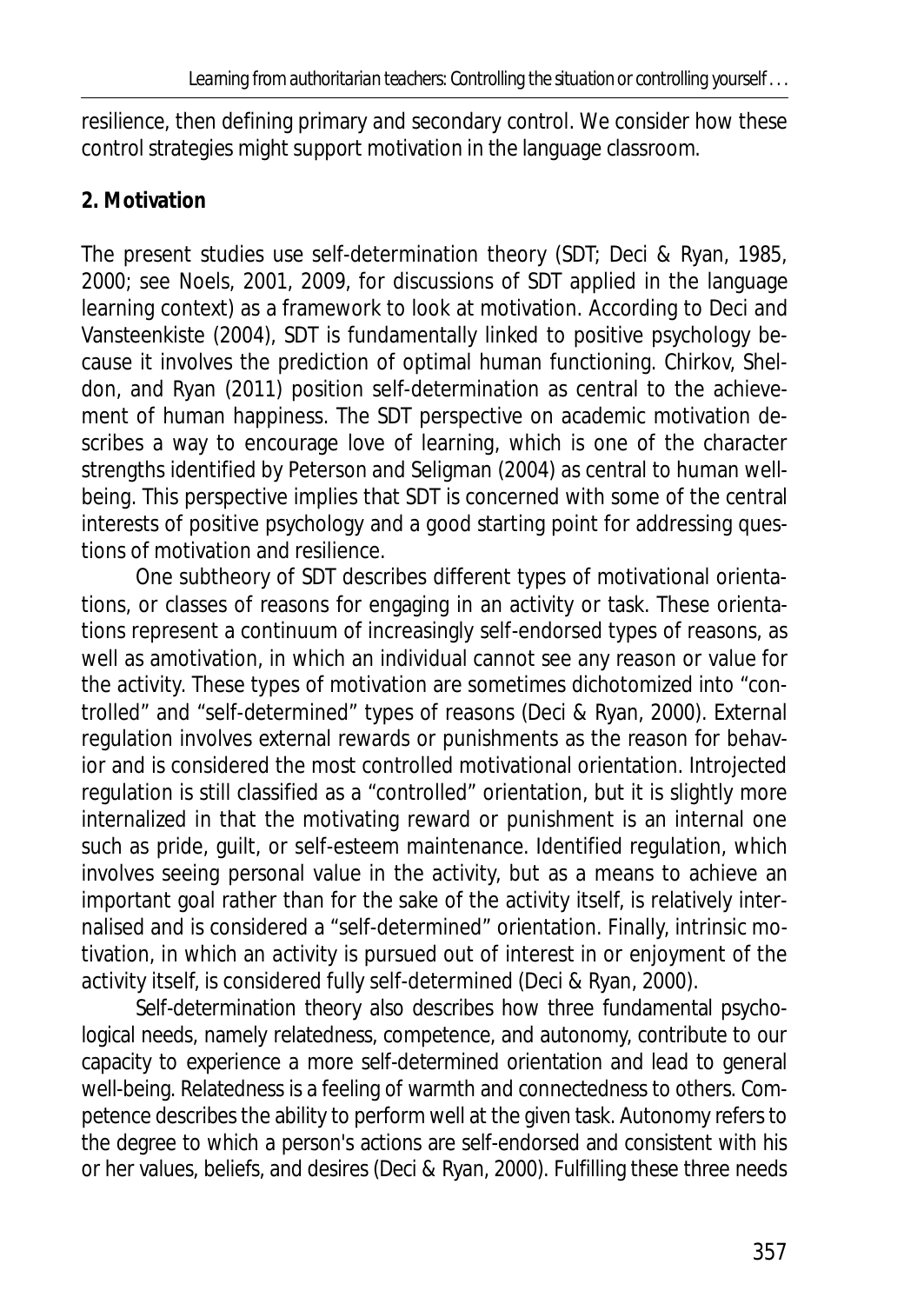resilience, then defining primary and secondary control. We consider how these control strategies might support motivation in the language classroom.

## **2. Motivation**

The present studies use self-determination theory (SDT; Deci & Ryan, 1985, 2000; see Noels, 2001, 2009, for discussions of SDT applied in the language learning context) as a framework to look at motivation. According to Deci and Vansteenkiste (2004), SDT is fundamentally linked to positive psychology because it involves the prediction of optimal human functioning. Chirkov, Sheldon, and Ryan (2011) position self-determination as central to the achievement of human happiness. The SDT perspective on academic motivation describes a way to encourage love of learning, which is one of the character strengths identified by Peterson and Seligman (2004) as central to human wellbeing. This perspective implies that SDT is concerned with some of the central interests of positive psychology and a good starting point for addressing questions of motivation and resilience.

One subtheory of SDT describes different types of motivational orientations, or classes of reasons for engaging in an activity or task. These orientations represent a continuum of increasingly self-endorsed types of reasons, as well as amotivation, in which an individual cannot see any reason or value for the activity. These types of motivation are sometimes dichotomized into "controlled" and "self-determined" types of reasons (Deci & Ryan, 2000). External regulation involves external rewards or punishments as the reason for behavior and is considered the most controlled motivational orientation. Introjected regulation is still classified as a "controlled" orientation, but it is slightly more internalized in that the motivating reward or punishment is an internal one such as pride, guilt, or self-esteem maintenance. Identified regulation, which involves seeing personal value in the activity, but as a means to achieve an important goal rather than for the sake of the activity itself, is relatively internalised and is considered a "self-determined" orientation. Finally, intrinsic motivation, in which an activity is pursued out of interest in or enjoyment of the activity itself, is considered fully self-determined (Deci & Ryan, 2000).

Self-determination theory also describes how three fundamental psychological needs, namely relatedness, competence, and autonomy, contribute to our capacity to experience a more self-determined orientation and lead to general well-being. Relatedness is a feeling of warmth and connectedness to others. Competence describes the ability to perform well at the given task. Autonomy refers to the degree to which a person's actions are self-endorsed and consistent with his or her values, beliefs, and desires (Deci & Ryan, 2000). Fulfilling these three needs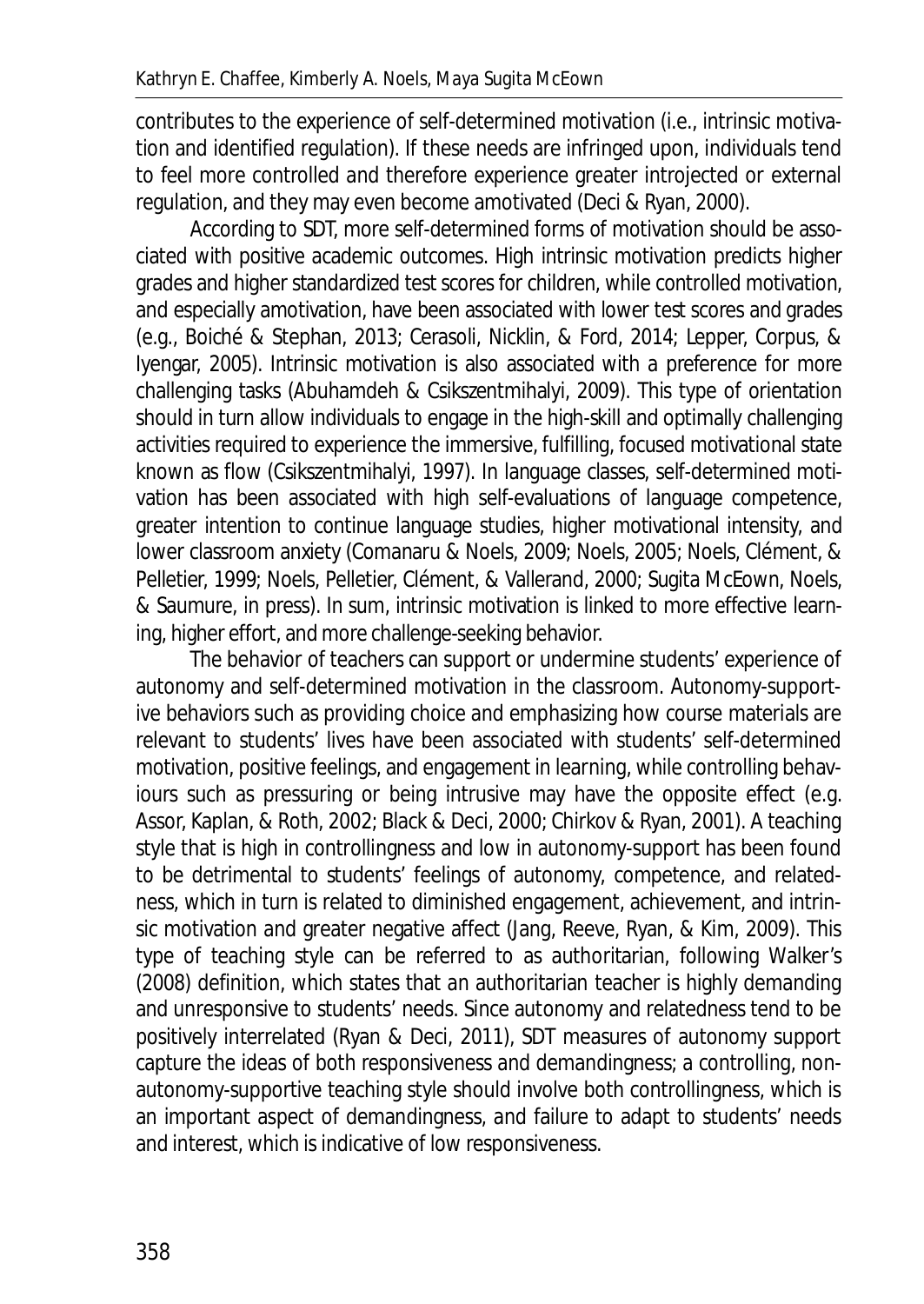contributes to the experience of self-determined motivation (i.e., intrinsic motivation and identified regulation). If these needs are infringed upon, individuals tend to feel more controlled and therefore experience greater introjected or external regulation, and they may even become amotivated (Deci & Ryan, 2000).

According to SDT, more self-determined forms of motivation should be associated with positive academic outcomes. High intrinsic motivation predicts higher grades and higher standardized test scores for children, while controlled motivation, and especially amotivation, have been associated with lower test scores and grades (e.g., Boiché & Stephan, 2013; Cerasoli, Nicklin, & Ford, 2014; Lepper, Corpus, & Iyengar, 2005). Intrinsic motivation is also associated with a preference for more challenging tasks (Abuhamdeh & Csikszentmihalyi, 2009). This type of orientation should in turn allow individuals to engage in the high-skill and optimally challenging activities required to experience the immersive, fulfilling, focused motivational state known as flow (Csikszentmihalyi, 1997). In language classes, self-determined motivation has been associated with high self-evaluations of language competence, greater intention to continue language studies, higher motivational intensity, and lower classroom anxiety (Comanaru & Noels, 2009; Noels, 2005; Noels, Clément, & Pelletier, 1999; Noels, Pelletier, Clément, & Vallerand, 2000; Sugita McEown, Noels, & Saumure, in press). In sum, intrinsic motivation is linked to more effective learning, higher effort, and more challenge-seeking behavior.

The behavior of teachers can support or undermine students' experience of autonomy and self-determined motivation in the classroom. Autonomy-supportive behaviors such as providing choice and emphasizing how course materials are relevant to students' lives have been associated with students' self-determined motivation, positive feelings, and engagement in learning, while controlling behaviours such as pressuring or being intrusive may have the opposite effect (e.g. Assor, Kaplan, & Roth, 2002; Black & Deci, 2000; Chirkov & Ryan, 2001). A teaching style that is high in controllingness and low in autonomy-support has been found to be detrimental to students' feelings of autonomy, competence, and relatedness, which in turn is related to diminished engagement, achievement, and intrinsic motivation and greater negative affect (Jang, Reeve, Ryan, & Kim, 2009). This type of teaching style can be referred to as authoritarian, following Walker's (2008) definition, which states that an authoritarian teacher is highly demanding and unresponsive to students' needs. Since autonomy and relatedness tend to be positively interrelated (Ryan & Deci, 2011), SDT measures of autonomy support capture the ideas of both responsiveness and demandingness; a controlling, nonautonomy-supportive teaching style should involve both controllingness, which is an important aspect of demandingness, and failure to adapt to students' needs and interest, which is indicative of low responsiveness.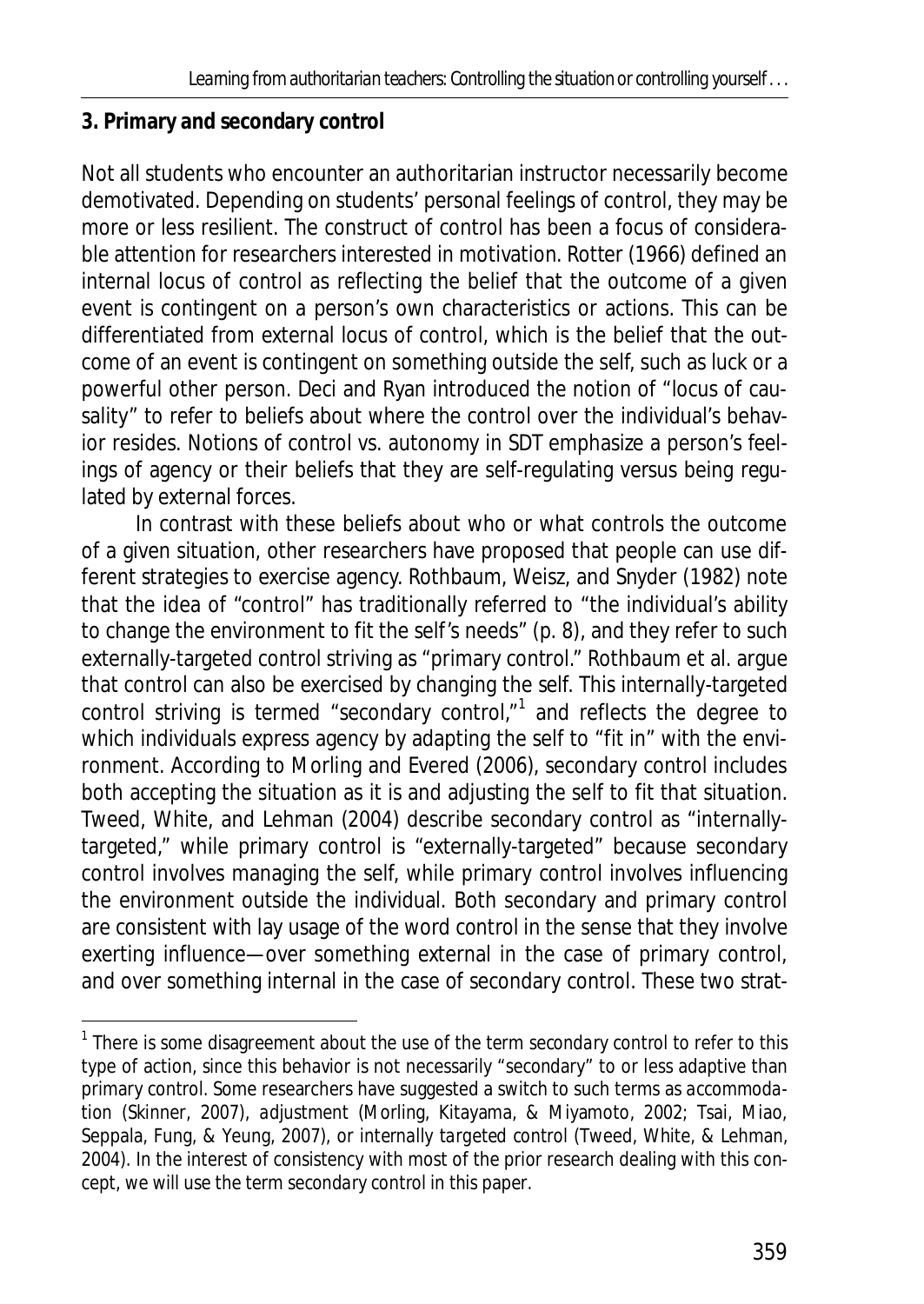## **3. Primary and secondary control**

 $\overline{\phantom{a}}$ 

Not all students who encounter an authoritarian instructor necessarily become demotivated. Depending on students' personal feelings of control, they may be more or less resilient. The construct of control has been a focus of considerable attention for researchers interested in motivation. Rotter (1966) defined an internal locus of control as reflecting the belief that the outcome of a given event is contingent on a person's own characteristics or actions. This can be differentiated from external locus of control, which is the belief that the outcome of an event is contingent on something outside the self, such as luck or a powerful other person. Deci and Ryan introduced the notion of "locus of causality" to refer to beliefs about where the control over the individual's behavior resides. Notions of control vs. autonomy in SDT emphasize a person's feelings of agency or their beliefs that they are self-regulating versus being regulated by external forces.

In contrast with these beliefs about who or what controls the outcome of a given situation, other researchers have proposed that people can use different strategies to exercise agency. Rothbaum, Weisz, and Snyder (1982) note that the idea of "control" has traditionally referred to "the individual's ability to change the environment to fit the self's needs" (p. 8), and they refer to such externally-targeted control striving as "primary control." Rothbaum et al. argue that control can also be exercised by changing the self. This internally-targeted control striving is termed "secondary control," $1$  and reflects the degree to which individuals express agency by adapting the self to "fit in" with the environment. According to Morling and Evered (2006), secondary control includes both accepting the situation as it is and adjusting the self to fit that situation. Tweed, White, and Lehman (2004) describe secondary control as "internallytargeted," while primary control is "externally-targeted" because secondary control involves managing the self, while primary control involves influencing the environment outside the individual. Both secondary and primary control are consistent with lay usage of the word *control* in the sense that they involve exerting influence—over something external in the case of primary control, and over something internal in the case of secondary control. These two strat-

<sup>&</sup>lt;sup>1</sup> There is some disagreement about the use of the term *secondary control* to refer to this type of action, since this behavior is not necessarily "secondary" to or less adaptive than primary control. Some researchers have suggested a switch to such terms as *accommodation* (Skinner, 2007), *adjustment* (Morling, Kitayama, & Miyamoto, 2002; Tsai, Miao, Seppala, Fung, & Yeung, 2007), or *internally targeted control* (Tweed, White, & Lehman, 2004). In the interest of consistency with most of the prior research dealing with this concept, we will use the term *secondary control* in this paper.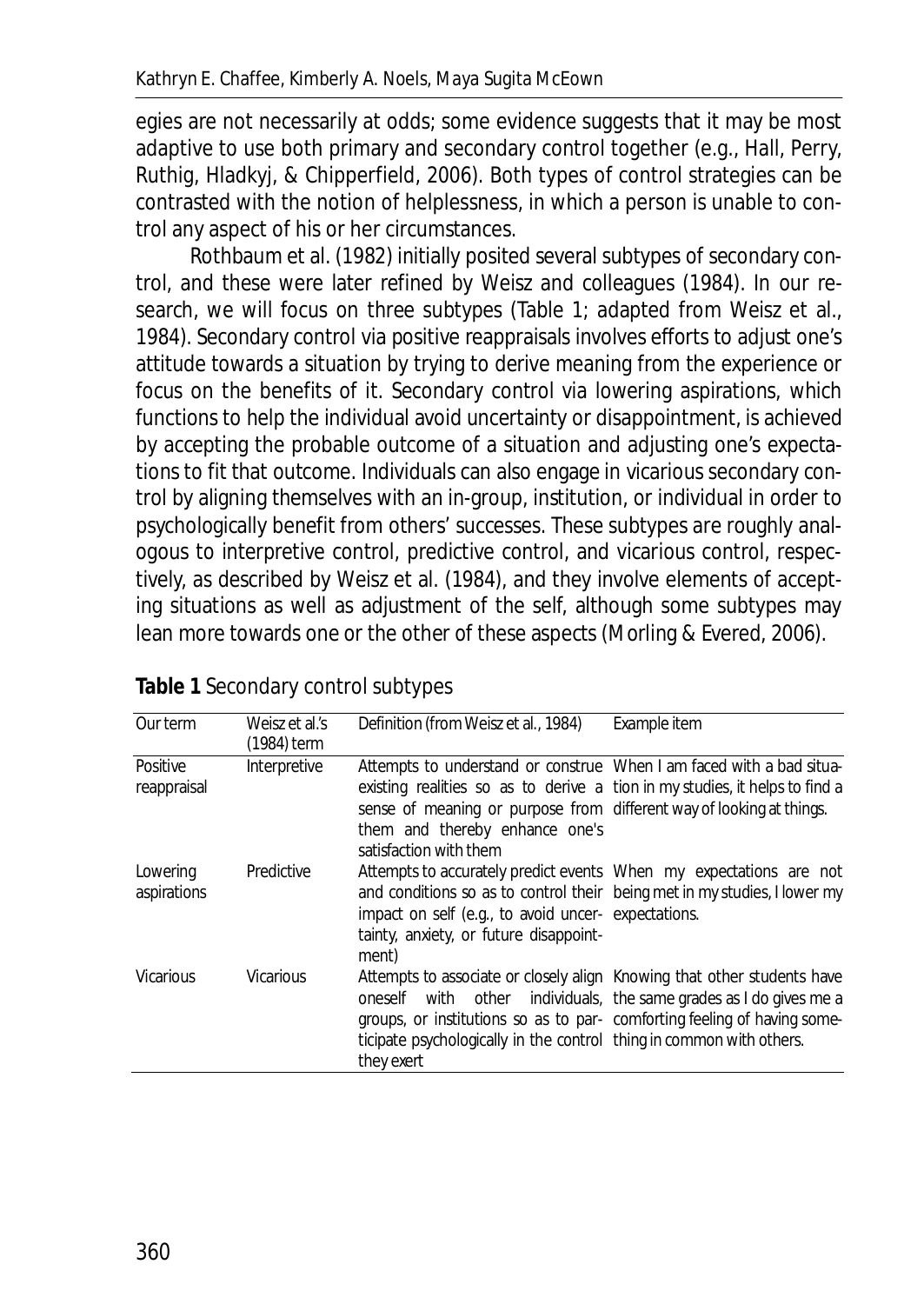egies are not necessarily at odds; some evidence suggests that it may be most adaptive to use both primary and secondary control together (e.g., Hall, Perry, Ruthig, Hladkyj, & Chipperfield, 2006). Both types of control strategies can be contrasted with the notion of helplessness, in which a person is unable to control any aspect of his or her circumstances.

Rothbaum et al. (1982) initially posited several subtypes of secondary control, and these were later refined by Weisz and colleagues (1984). In our research, we will focus on three subtypes (Table 1; adapted from Weisz et al., 1984). Secondary control via positive reappraisals involves efforts to adjust one's attitude towards a situation by trying to derive meaning from the experience or focus on the benefits of it. Secondary control via lowering aspirations, which functions to help the individual avoid uncertainty or disappointment, is achieved by accepting the probable outcome of a situation and adjusting one's expectations to fit that outcome. Individuals can also engage in vicarious secondary control by aligning themselves with an in-group, institution, or individual in order to psychologically benefit from others' successes. These subtypes are roughly analogous to interpretive control, predictive control, and vicarious control, respectively, as described by Weisz et al. (1984), and they involve elements of accepting situations as well as adjustment of the self, although some subtypes may lean more towards one or the other of these aspects (Morling & Evered, 2006).

| Our term                | Weisz et al.'s<br>(1984) term | Definition (from Weisz et al., 1984)                                                                                                                                                                                                                                                    | Example item                                               |
|-------------------------|-------------------------------|-----------------------------------------------------------------------------------------------------------------------------------------------------------------------------------------------------------------------------------------------------------------------------------------|------------------------------------------------------------|
| Positive<br>reappraisal | Interpretive                  | Attempts to understand or construe When I am faced with a bad situa-<br>existing realities so as to derive a tion in my studies, it helps to find a<br>sense of meaning or purpose from different way of looking at things.<br>them and thereby enhance one's<br>satisfaction with them |                                                            |
| Lowering<br>aspirations | Predictive                    | Attempts to accurately predict events When my expectations are not<br>and conditions so as to control their being met in my studies, I lower my<br>impact on self (e.g., to avoid uncer- expectations.<br>tainty, anxiety, or future disappoint-<br>ment)                               |                                                            |
| <b>Vicarious</b>        | <b>Vicarious</b>              | Attempts to associate or closely align Knowing that other students have<br>oneself<br>groups, or institutions so as to par- comforting feeling of having some-<br>ticipate psychologically in the control thing in common with others.<br>they exert                                    | with other individuals, the same grades as I do gives me a |

## **Table 1** Secondary control subtypes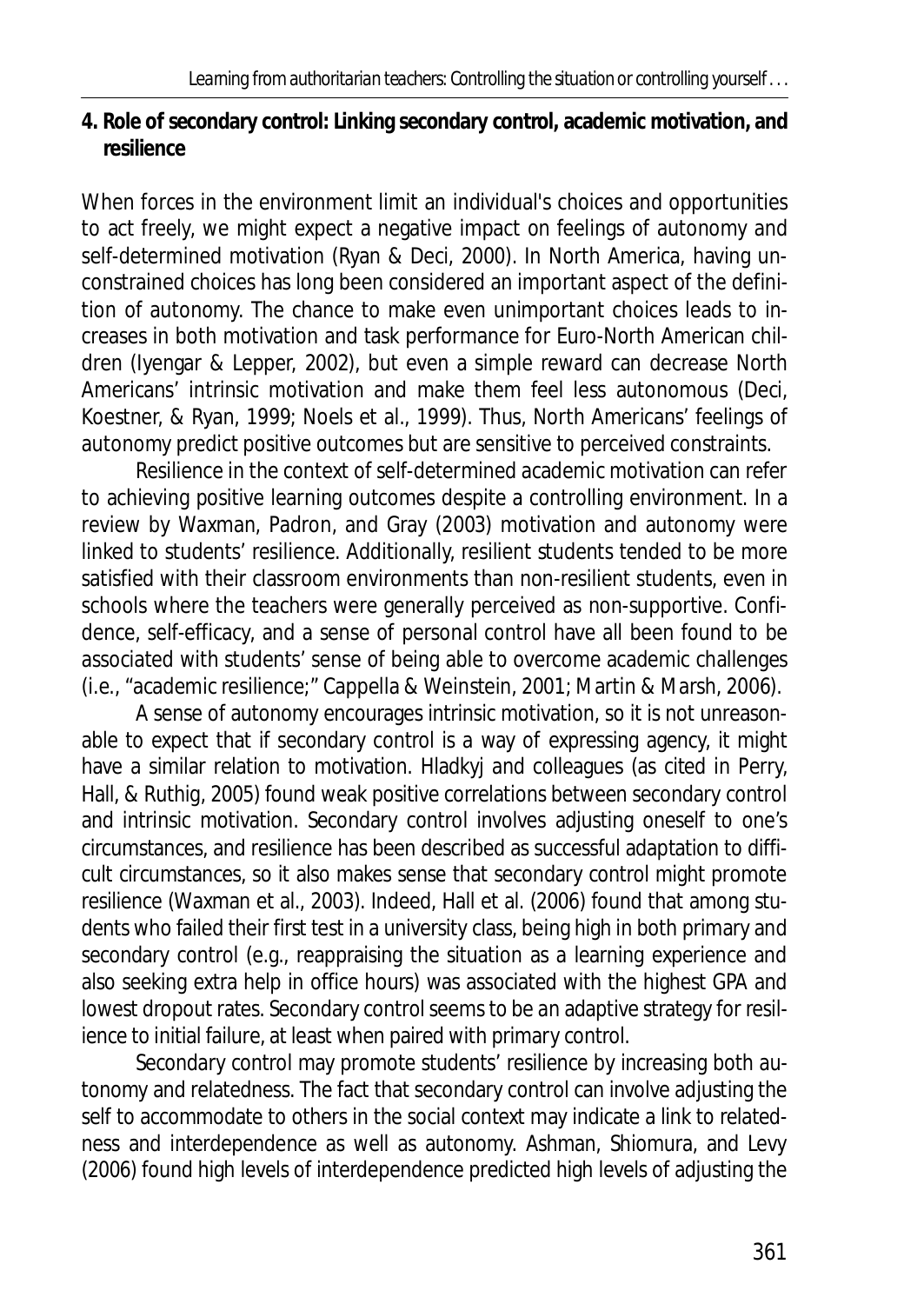**4. Role of secondary control: Linking secondary control, academic motivation, and resilience** 

When forces in the environment limit an individual's choices and opportunities to act freely, we might expect a negative impact on feelings of autonomy and self-determined motivation (Ryan & Deci, 2000). In North America, having unconstrained choices has long been considered an important aspect of the definition of autonomy. The chance to make even unimportant choices leads to increases in both motivation and task performance for Euro-North American children (Iyengar & Lepper, 2002), but even a simple reward can decrease North Americans' intrinsic motivation and make them feel less autonomous (Deci, Koestner, & Ryan, 1999; Noels et al., 1999). Thus, North Americans' feelings of autonomy predict positive outcomes but are sensitive to perceived constraints.

Resilience in the context of self-determined academic motivation can refer to achieving positive learning outcomes despite a controlling environment. In a review by Waxman, Padron, and Gray (2003) motivation and autonomy were linked to students' resilience. Additionally, resilient students tended to be more satisfied with their classroom environments than non-resilient students, even in schools where the teachers were generally perceived as non-supportive. Confidence, self-efficacy, and a sense of personal control have all been found to be associated with students' sense of being able to overcome academic challenges (i.e., "academic resilience;" Cappella & Weinstein, 2001; Martin & Marsh, 2006).

A sense of autonomy encourages intrinsic motivation, so it is not unreasonable to expect that if secondary control is a way of expressing agency, it might have a similar relation to motivation. Hladkyj and colleagues (as cited in Perry, Hall, & Ruthig, 2005) found weak positive correlations between secondary control and intrinsic motivation. Secondary control involves adjusting oneself to one's circumstances, and resilience has been described as successful adaptation to difficult circumstances, so it also makes sense that secondary control might promote resilience (Waxman et al., 2003). Indeed, Hall et al. (2006) found that among students who failed their first test in a university class, being high in both primary and secondary control (e.g., reappraising the situation as a learning experience and also seeking extra help in office hours) was associated with the highest GPA and lowest dropout rates. Secondary control seems to be an adaptive strategy for resilience to initial failure, at least when paired with primary control.

Secondary control may promote students' resilience by increasing both autonomy and relatedness. The fact that secondary control can involve adjusting the self to accommodate to others in the social context may indicate a link to relatedness and interdependence as well as autonomy. Ashman, Shiomura, and Levy (2006) found high levels of interdependence predicted high levels of adjusting the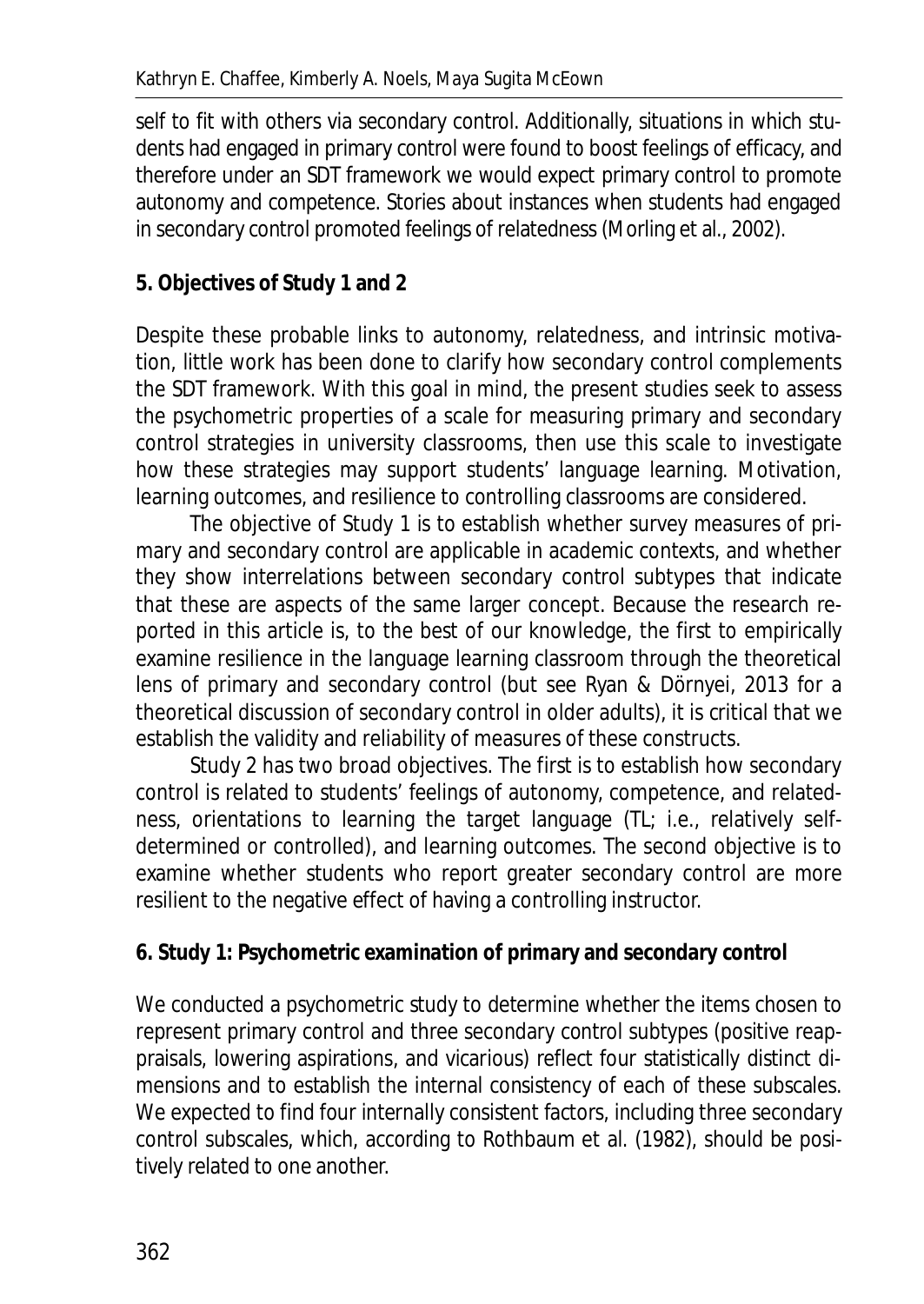self to fit with others via secondary control. Additionally, situations in which students had engaged in primary control were found to boost feelings of efficacy, and therefore under an SDT framework we would expect primary control to promote autonomy and competence. Stories about instances when students had engaged in secondary control promoted feelings of relatedness (Morling et al., 2002).

## **5. Objectives of Study 1 and 2**

Despite these probable links to autonomy, relatedness, and intrinsic motivation, little work has been done to clarify how secondary control complements the SDT framework. With this goal in mind, the present studies seek to assess the psychometric properties of a scale for measuring primary and secondary control strategies in university classrooms, then use this scale to investigate how these strategies may support students' language learning. Motivation, learning outcomes, and resilience to controlling classrooms are considered.

The objective of Study 1 is to establish whether survey measures of primary and secondary control are applicable in academic contexts, and whether they show interrelations between secondary control subtypes that indicate that these are aspects of the same larger concept. Because the research reported in this article is, to the best of our knowledge, the first to empirically examine resilience in the language learning classroom through the theoretical lens of primary and secondary control (but see Ryan & Dörnyei, 2013 for a theoretical discussion of secondary control in older adults), it is critical that we establish the validity and reliability of measures of these constructs.

Study 2 has two broad objectives. The first is to establish how secondary control is related to students' feelings of autonomy, competence, and relatedness, orientations to learning the target language (TL; i.e., relatively selfdetermined or controlled), and learning outcomes. The second objective is to examine whether students who report greater secondary control are more resilient to the negative effect of having a controlling instructor.

## **6. Study 1: Psychometric examination of primary and secondary control**

We conducted a psychometric study to determine whether the items chosen to represent primary control and three secondary control subtypes (positive reappraisals, lowering aspirations, and vicarious) reflect four statistically distinct dimensions and to establish the internal consistency of each of these subscales. We expected to find four internally consistent factors, including three secondary control subscales, which, according to Rothbaum et al. (1982), should be positively related to one another.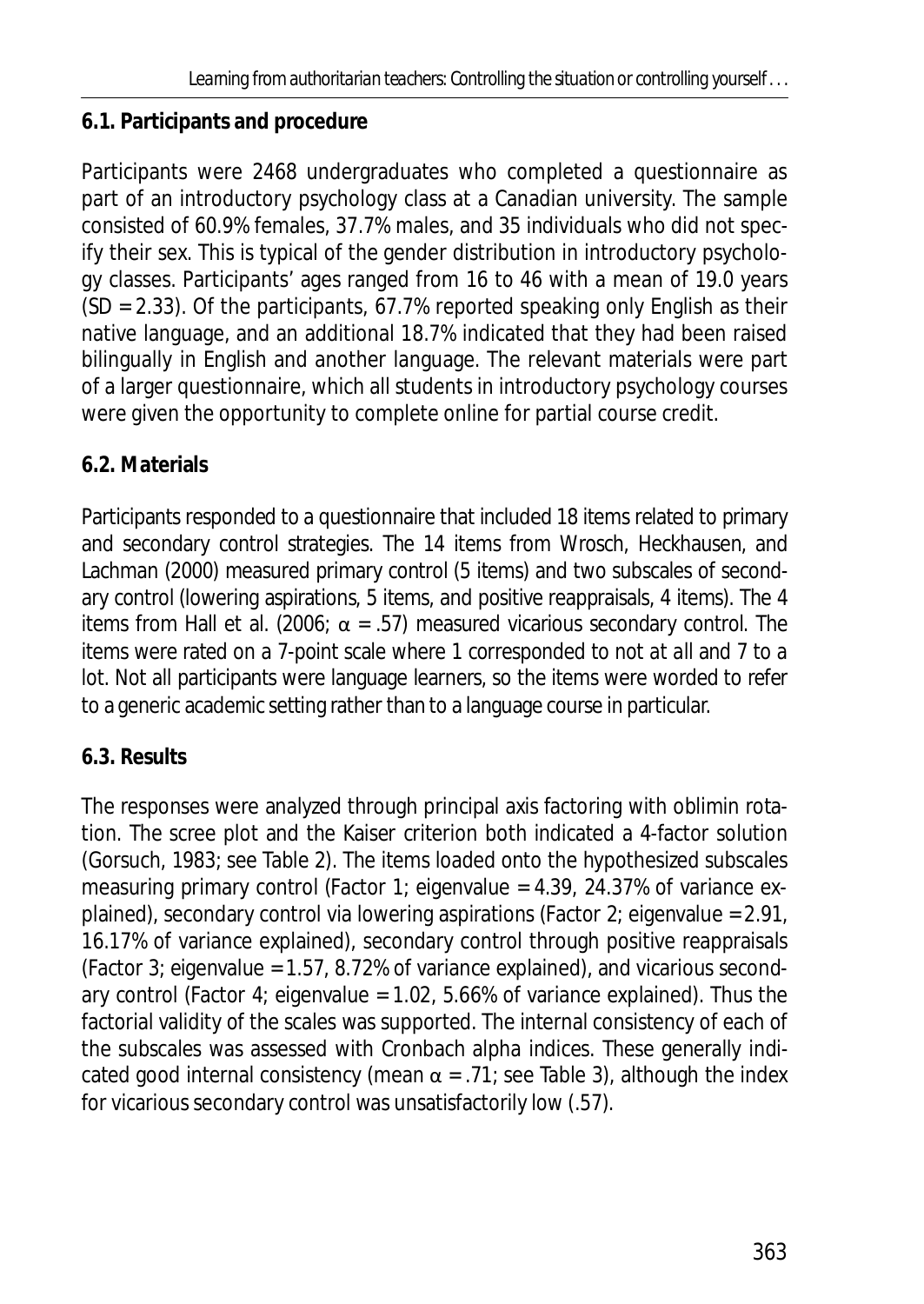## **6.1. Participants and procedure**

Participants were 2468 undergraduates who completed a questionnaire as part of an introductory psychology class at a Canadian university. The sample consisted of 60.9% females, 37.7% males, and 35 individuals who did not specify their sex. This is typical of the gender distribution in introductory psychology classes. Participants' ages ranged from 16 to 46 with a mean of 19.0 years (*SD* = 2.33). Of the participants, 67.7% reported speaking only English as their native language, and an additional 18.7% indicated that they had been raised bilingually in English and another language. The relevant materials were part of a larger questionnaire, which all students in introductory psychology courses were given the opportunity to complete online for partial course credit.

# **6.2. Materials**

Participants responded to a questionnaire that included 18 items related to primary and secondary control strategies. The 14 items from Wrosch, Heckhausen, and Lachman (2000) measured primary control (5 items) and two subscales of secondary control (lowering aspirations, 5 items, and positive reappraisals, 4 items). The 4 items from Hall et al. (2006;  $\alpha$  = .57) measured vicarious secondary control. The items were rated on a 7-point scale where 1 corresponded to *not at all* and 7 to *a lot*. Not all participants were language learners, so the items were worded to refer to a generic academic setting rather than to a language course in particular.

# **6.3. Results**

The responses were analyzed through principal axis factoring with oblimin rotation. The scree plot and the Kaiser criterion both indicated a 4-factor solution (Gorsuch, 1983; see Table 2). The items loaded onto the hypothesized subscales measuring primary control (Factor 1; eigenvalue = 4.39, 24.37% of variance explained), secondary control via lowering aspirations (Factor 2; eigenvalue = 2.91, 16.17% of variance explained), secondary control through positive reappraisals (Factor 3; eigenvalue =  $1.57$ , 8.72% of variance explained), and vicarious secondary control (Factor 4; eigenvalue =  $1.02, 5.66\%$  of variance explained). Thus the factorial validity of the scales was supported. The internal consistency of each of the subscales was assessed with Cronbach alpha indices. These generally indicated good internal consistency (mean  $\alpha$  = .71; see Table 3), although the index for vicarious secondary control was unsatisfactorily low (.57).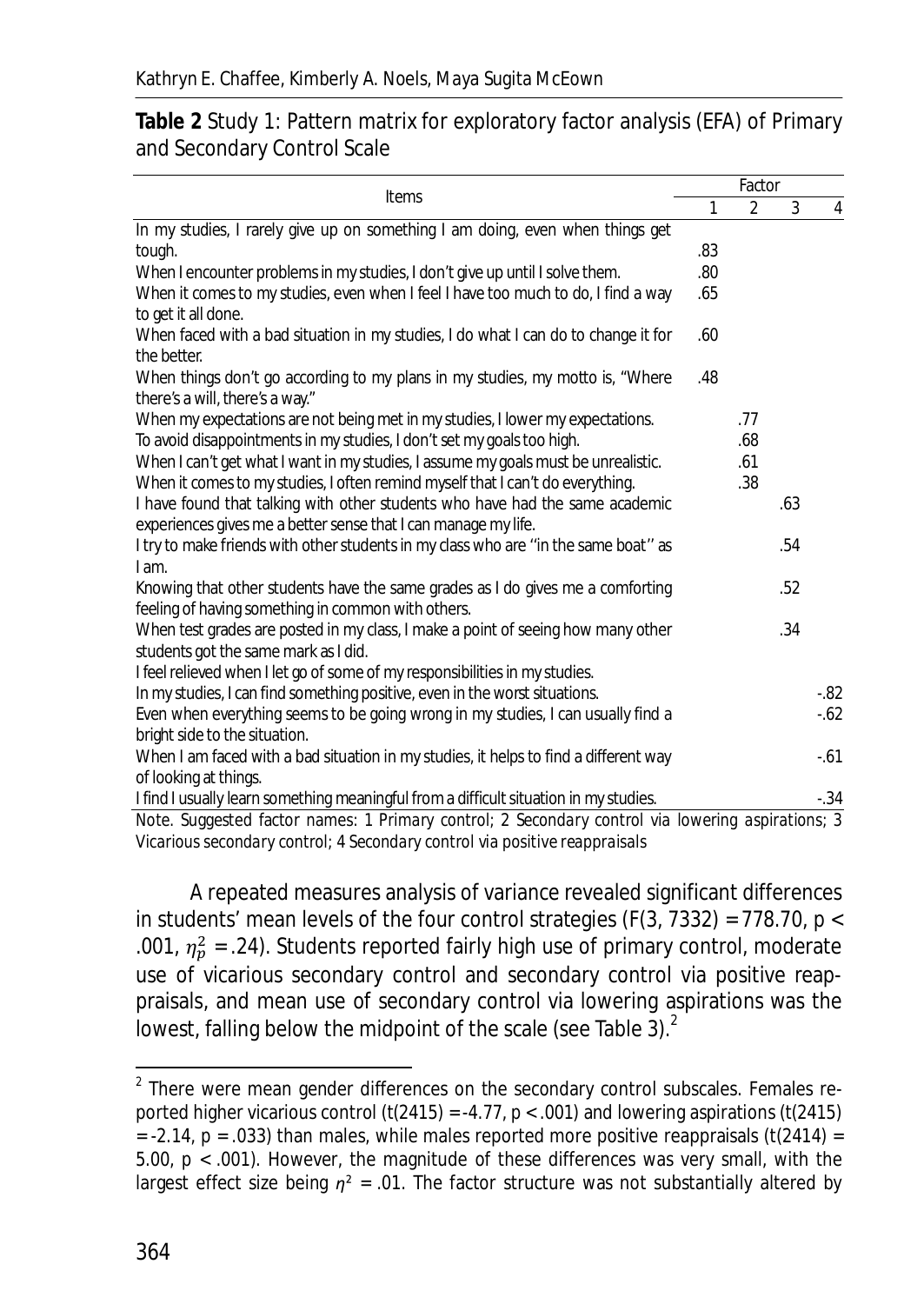#### **Table 2** Study 1: Pattern matrix for exploratory factor analysis (EFA) of Primary and Secondary Control Scale

| <b>Items</b>                                                                                                                                   |     | Factor         |     |         |  |
|------------------------------------------------------------------------------------------------------------------------------------------------|-----|----------------|-----|---------|--|
|                                                                                                                                                | 1   | $\overline{2}$ | 3   | 4       |  |
| In my studies, I rarely give up on something I am doing, even when things get                                                                  |     |                |     |         |  |
| tough.                                                                                                                                         | .83 |                |     |         |  |
| When I encounter problems in my studies, I don't give up until I solve them.                                                                   | .80 |                |     |         |  |
| When it comes to my studies, even when I feel I have too much to do, I find a way                                                              | .65 |                |     |         |  |
| to get it all done.                                                                                                                            |     |                |     |         |  |
| When faced with a bad situation in my studies, I do what I can do to change it for<br>the better.                                              | .60 |                |     |         |  |
| When things don't go according to my plans in my studies, my motto is, "Where<br>there's a will, there's a way."                               | .48 |                |     |         |  |
| When my expectations are not being met in my studies, I lower my expectations.                                                                 |     | .77            |     |         |  |
| To avoid disappointments in my studies, I don't set my goals too high.                                                                         |     | .68            |     |         |  |
| When I can't get what I want in my studies, I assume my goals must be unrealistic.                                                             |     | .61            |     |         |  |
| When it comes to my studies, I often remind myself that I can't do everything.                                                                 |     | .38            |     |         |  |
| I have found that talking with other students who have had the same academic<br>experiences gives me a better sense that I can manage my life. |     |                | .63 |         |  |
| I try to make friends with other students in my class who are "in the same boat" as                                                            |     |                | .54 |         |  |
| I am.                                                                                                                                          |     |                |     |         |  |
| Knowing that other students have the same grades as I do gives me a comforting                                                                 |     |                | .52 |         |  |
| feeling of having something in common with others.                                                                                             |     |                |     |         |  |
| When test grades are posted in my class, I make a point of seeing how many other                                                               |     |                | .34 |         |  |
| students got the same mark as I did.                                                                                                           |     |                |     |         |  |
| I feel relieved when I let go of some of my responsibilities in my studies.                                                                    |     |                |     |         |  |
| In my studies, I can find something positive, even in the worst situations.                                                                    |     |                |     | $-0.82$ |  |
| Even when everything seems to be going wrong in my studies, I can usually find a                                                               |     |                |     | $-62$   |  |
| bright side to the situation.                                                                                                                  |     |                |     |         |  |
| When I am faced with a bad situation in my studies, it helps to find a different way                                                           |     |                |     | $-61$   |  |
| of looking at things.                                                                                                                          |     |                |     |         |  |
| I find I usually learn something meaningful from a difficult situation in my studies.                                                          |     |                |     | $-.34$  |  |
| Note. Suggested factor names: 1 Primary control; 2 Secondary control via lowering aspirations; 3                                               |     |                |     |         |  |

*Vicarious secondary control*; 4 *Secondary control via positive reappraisals*

A repeated measures analysis of variance revealed significant differences in students' mean levels of the four control strategies (*F*(3, 7332) = 778.70, *p* < .001,  $\eta_p^2$  = .24). Students reported fairly high use of primary control, moderate use of vicarious secondary control and secondary control via positive reappraisals, and mean use of secondary control via lowering aspirations was the lowest, falling below the midpoint of the scale (see Table 3). $<sup>2</sup>$ </sup>

 $\overline{a}$ 

 $2$  There were mean gender differences on the secondary control subscales. Females reported higher vicarious control (*t*(2415) = -4.77, *p* < .001) and lowering aspirations (*t*(2415)  $= -2.14$ ,  $p = .033$ ) than males, while males reported more positive reappraisals ( $t(2414) =$ 5.00, *p* < .001). However, the magnitude of these differences was very small, with the largest effect size being  $\eta^2$  = .01. The factor structure was not substantially altered by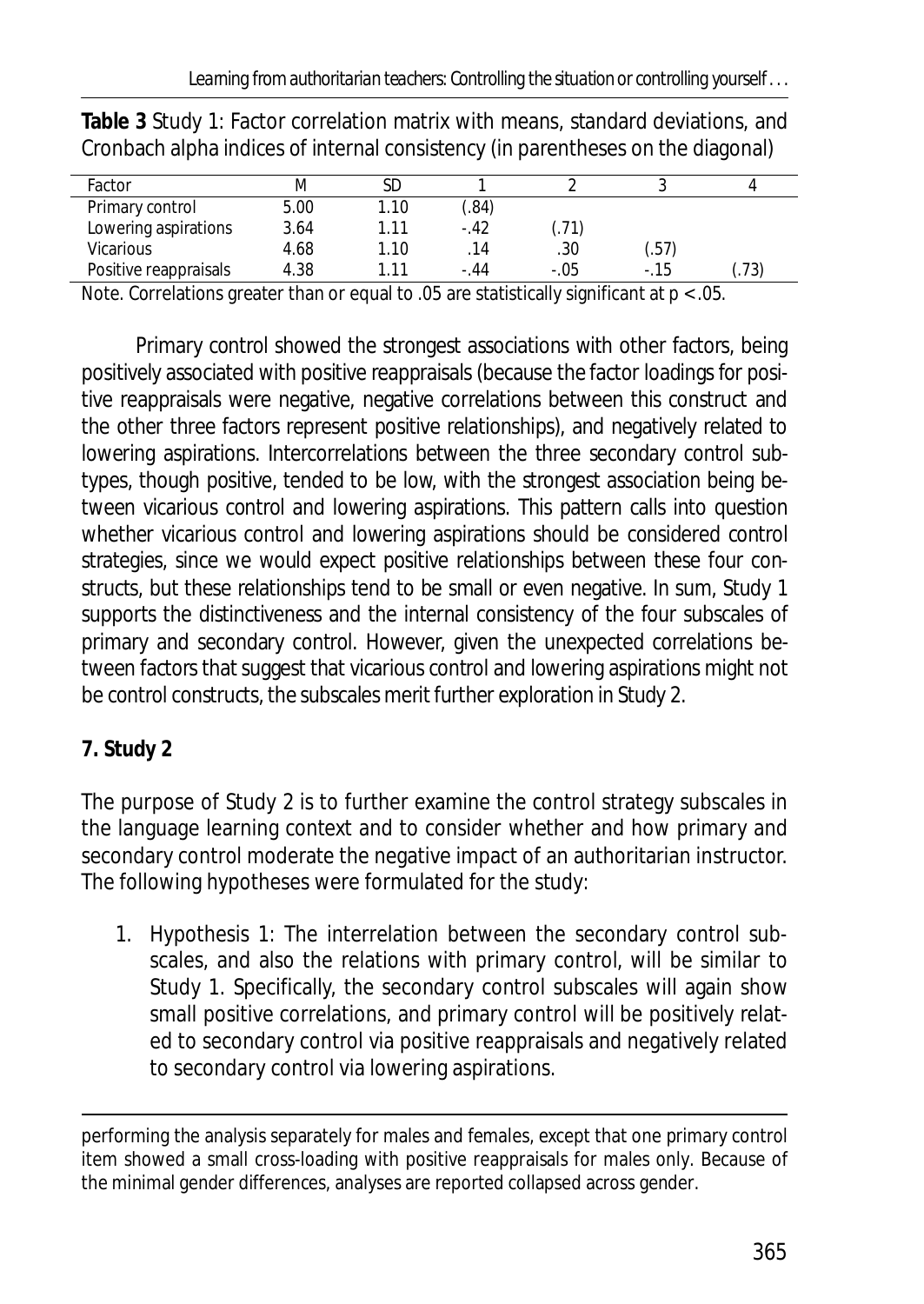| Factor                |      |      |        |                  |         |      |
|-----------------------|------|------|--------|------------------|---------|------|
| Primary control       | 5.00 | 1.10 | .84)   |                  |         |      |
| Lowering aspirations  | 3.64 | 1.11 | $-.42$ | .71 <sup>′</sup> |         |      |
| <b>Vicarious</b>      | 4.68 | 1.10 | 14     | .30              | (.57    |      |
| Positive reappraisals | 4.38 |      | - 44   | $-.05$           | $-0.15$ | (73) |
|                       |      |      |        |                  |         |      |

**Table 3** Study 1: Factor correlation matrix with means, standard deviations, and Cronbach alpha indices of internal consistency (in parentheses on the diagonal)

*Note*. Correlations greater than or equal to .05 are statistically significant at *p* < .05.

Primary control showed the strongest associations with other factors, being positively associated with positive reappraisals (because the factor loadings for positive reappraisals were negative, negative correlations between this construct and the other three factors represent positive relationships), and negatively related to lowering aspirations. Intercorrelations between the three secondary control subtypes, though positive, tended to be low, with the strongest association being between vicarious control and lowering aspirations. This pattern calls into question whether vicarious control and lowering aspirations should be considered control strategies, since we would expect positive relationships between these four constructs, but these relationships tend to be small or even negative. In sum, Study 1 supports the distinctiveness and the internal consistency of the four subscales of primary and secondary control. However, given the unexpected correlations between factors that suggest that vicarious control and lowering aspirations might not be control constructs, the subscales merit further exploration in Study 2.

## **7. Study 2**

The purpose of Study 2 is to further examine the control strategy subscales in the language learning context and to consider whether and how primary and secondary control moderate the negative impact of an authoritarian instructor. The following hypotheses were formulated for the study:

1. Hypothesis 1: The interrelation between the secondary control subscales, and also the relations with primary control, will be similar to Study 1. Specifically, the secondary control subscales will again show small positive correlations, and primary control will be positively related to secondary control via positive reappraisals and negatively related to secondary control via lowering aspirations.

l performing the analysis separately for males and females, except that one primary control item showed a small cross-loading with positive reappraisals for males only. Because of the minimal gender differences, analyses are reported collapsed across gender.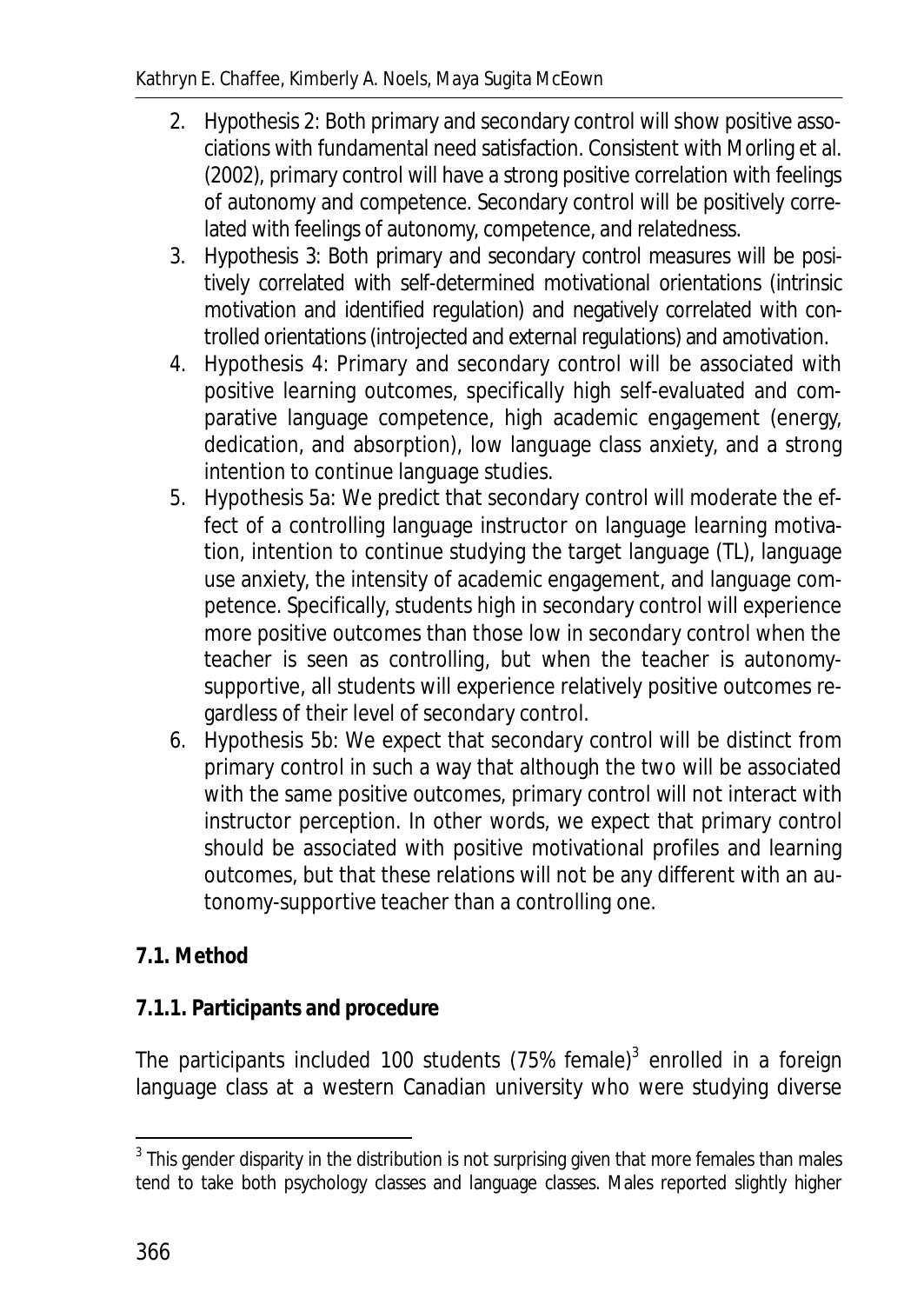- 2. Hypothesis 2: Both primary and secondary control will show positive associations with fundamental need satisfaction. Consistent with Morling et al. (2002), primary control will have a strong positive correlation with feelings of autonomy and competence. Secondary control will be positively correlated with feelings of autonomy, competence, and relatedness.
- 3. Hypothesis 3: Both primary and secondary control measures will be positively correlated with self-determined motivational orientations (intrinsic motivation and identified regulation) and negatively correlated with controlled orientations (introjected and external regulations) and amotivation.
- 4. Hypothesis 4: Primary and secondary control will be associated with positive learning outcomes, specifically high self-evaluated and comparative language competence, high academic engagement (energy, dedication, and absorption), low language class anxiety, and a strong intention to continue language studies.
- 5. Hypothesis 5a: We predict that secondary control will moderate the effect of a controlling language instructor on language learning motivation, intention to continue studying the target language (TL), language use anxiety, the intensity of academic engagement, and language competence. Specifically, students high in secondary control will experience more positive outcomes than those low in secondary control when the teacher is seen as controlling, but when the teacher is autonomysupportive, all students will experience relatively positive outcomes regardless of their level of secondary control.
- 6. Hypothesis 5b: We expect that secondary control will be distinct from primary control in such a way that although the two will be associated with the same positive outcomes, primary control will not interact with instructor perception. In other words, we expect that primary control should be associated with positive motivational profiles and learning outcomes, but that these relations will not be any different with an autonomy-supportive teacher than a controlling one.

# **7.1. Method**

## **7.1.1. Participants and procedure**

The participants included 100 students (75% female)<sup>3</sup> enrolled in a foreign language class at a western Canadian university who were studying diverse

 3 This gender disparity in the distribution is not surprising given that more females than males tend to take both psychology classes and language classes. Males reported slightly higher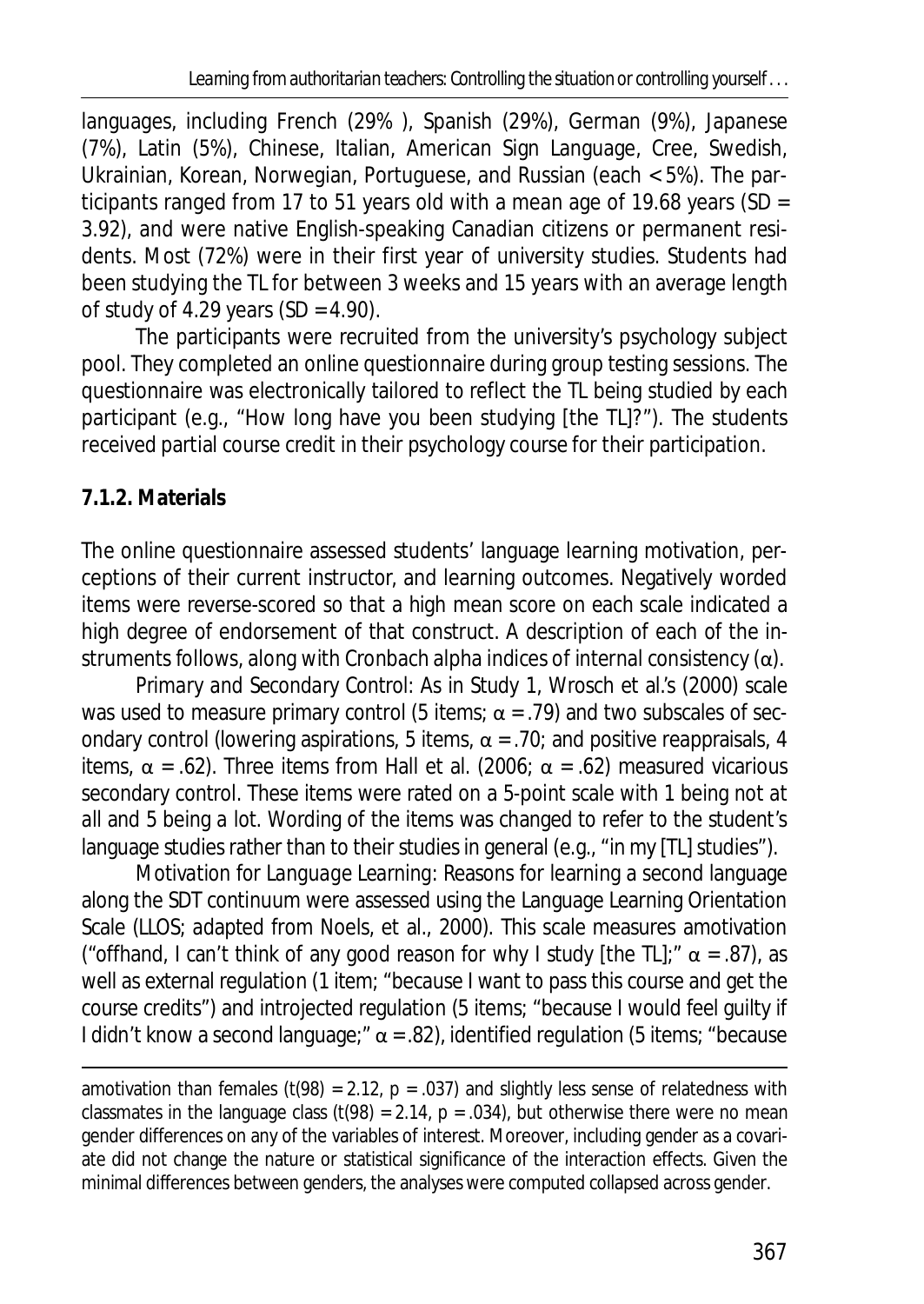languages, including French (29% ), Spanish (29%), German (9%), Japanese (7%), Latin (5%), Chinese, Italian, American Sign Language, Cree, Swedish, Ukrainian, Korean, Norwegian, Portuguese, and Russian (each < 5%). The participants ranged from 17 to 51 years old with a mean age of 19.68 years (*SD* = 3.92), and were native English-speaking Canadian citizens or permanent residents. Most (72%) were in their first year of university studies. Students had been studying the TL for between 3 weeks and 15 years with an average length of study of 4.29 years (*SD* = 4.90).

The participants were recruited from the university's psychology subject pool. They completed an online questionnaire during group testing sessions. The questionnaire was electronically tailored to reflect the TL being studied by each participant (e.g., "How long have you been studying [the TL]?"). The students received partial course credit in their psychology course for their participation.

## **7.1.2. Materials**

l

The online questionnaire assessed students' language learning motivation, perceptions of their current instructor, and learning outcomes. Negatively worded items were reverse-scored so that a high mean score on each scale indicated a high degree of endorsement of that construct. A description of each of the instruments follows, along with Cronbach alpha indices of internal consistency  $(\alpha)$ .

*Primary and Secondary Control*: As in Study 1, Wrosch et al.'s (2000) scale was used to measure primary control (5 items;  $\alpha$  = .79) and two subscales of secondary control (lowering aspirations, 5 items,  $\alpha$  = .70; and positive reappraisals, 4 items,  $\alpha$  = .62). Three items from Hall et al. (2006;  $\alpha$  = .62) measured vicarious secondary control. These items were rated on a 5-point scale with 1 being *not at all* and 5 being *a lot*. Wording of the items was changed to refer to the student's language studies rather than to their studies in general (e.g., "in my [TL] studies").

*Motivation for Language Learning:* Reasons for learning a second language along the SDT continuum were assessed using the Language Learning Orientation Scale (LLOS; adapted from Noels, et al., 2000). This scale measures amotivation ("offhand, I can't think of any good reason for why I study [the TL];"  $\alpha$  = .87), as well as external regulation (1 item; "because I want to pass this course and get the course credits") and introjected regulation (5 items; "because I would feel guilty if I didn't know a second language;"  $\alpha$  = .82), identified regulation (5 items; "because

amotivation than females (*t*(98) = 2.12, *p* = .037) and slightly less sense of relatedness with classmates in the language class  $(t(98) = 2.14, p = .034)$ , but otherwise there were no mean gender differences on any of the variables of interest. Moreover, including gender as a covariate did not change the nature or statistical significance of the interaction effects. Given the minimal differences between genders, the analyses were computed collapsed across gender.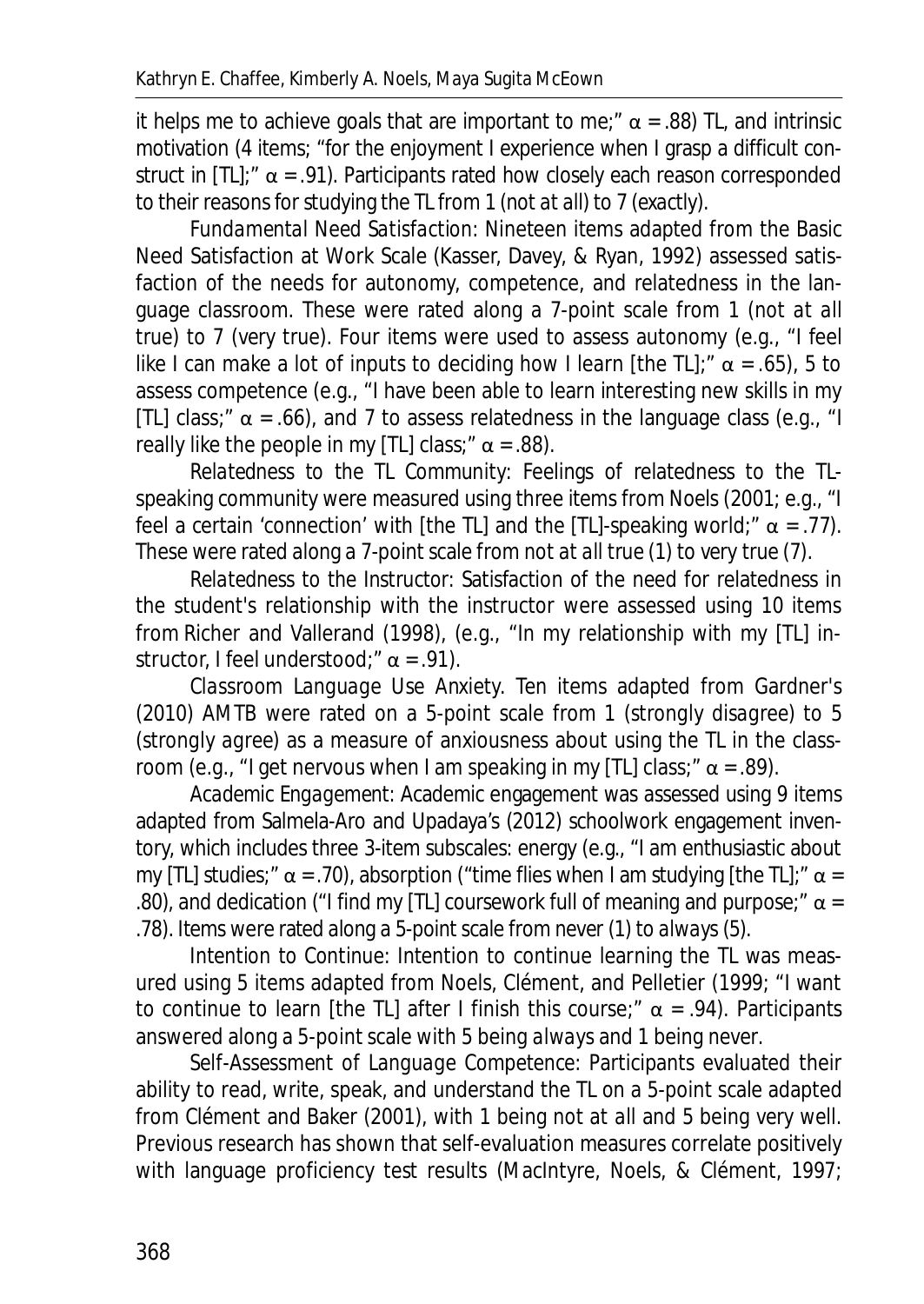it helps me to achieve goals that are important to me;"  $\alpha$  = .88) TL, and intrinsic motivation (4 items; "for the enjoyment I experience when I grasp a difficult construct in [TL]:"  $\alpha$  = .91). Participants rated how closely each reason corresponded to their reasons for studying the TL from 1 (*not at all*) to 7 (*exactly*).

*Fundamental Need Satisfaction*: Nineteen items adapted from the Basic Need Satisfaction at Work Scale (Kasser, Davey, & Ryan, 1992) assessed satisfaction of the needs for autonomy, competence, and relatedness in the language classroom. These were rated along a 7-point scale from 1 (*not at all true*) to 7 (*very true*). Four items were used to assess autonomy (e.g., "I feel like I can make a lot of inputs to deciding how I learn [the TL];"  $\alpha$  = .65), 5 to assess competence (e.g., "I have been able to learn interesting new skills in my [TL] class;"  $\alpha$  = .66), and 7 to assess relatedness in the language class (e.g., "I really like the people in my [TL] class;"  $\alpha$  = .88).

*Relatedness to the TL Community:* Feelings of relatedness to the TLspeaking community were measured using three items from Noels (2001; e.g., "I feel a certain 'connection' with [the TL] and the [TL]-speaking world;"  $\alpha$  = .77). These were rated along a 7-point scale from *not at all true* (1) to *very true* (7).

*Relatedness to the Instructor:* Satisfaction of the need for relatedness in the student's relationship with the instructor were assessed using 10 items from Richer and Vallerand (1998), (e.g., "In my relationship with my [TL] instructor, I feel understood;"  $\alpha$  = .91).

*Classroom Language Use Anxiety.* Ten items adapted from Gardner's (2010) AMTB were rated on a 5-point scale from 1 (*strongly disagree*) to 5 (*strongly agree*) as a measure of anxiousness about using the TL in the classroom (e.g., "I get nervous when I am speaking in my [TL] class;"  $\alpha$  = .89).

*Academic Engagement*: Academic engagement was assessed using 9 items adapted from Salmela-Aro and Upadaya's (2012) schoolwork engagement inventory, which includes three 3-item subscales: energy (e.g., "I am enthusiastic about my [TL] studies;"  $\alpha$  = .70), absorption ("time flies when I am studying [the TL];"  $\alpha$  = .80), and dedication ("I find my [TL] coursework full of meaning and purpose;"  $\alpha$  = .78). Items were rated along a 5-point scale from *never* (1) to *always* (5).

*Intention to Continue*: Intention to continue learning the TL was measured using 5 items adapted from Noels, Clément, and Pelletier (1999; "I want to continue to learn [the TL] after I finish this course;"  $\alpha$  = .94). Participants answered along a 5-point scale with 5 being *always* and 1 being *never*.

*Self-Assessment of Language Competence*: Participants evaluated their ability to read, write, speak, and understand the TL on a 5-point scale adapted from Clément and Baker (2001), with 1 being *not at all* and 5 being *very well*. Previous research has shown that self-evaluation measures correlate positively with language proficiency test results (MacIntyre, Noels, & Clément, 1997;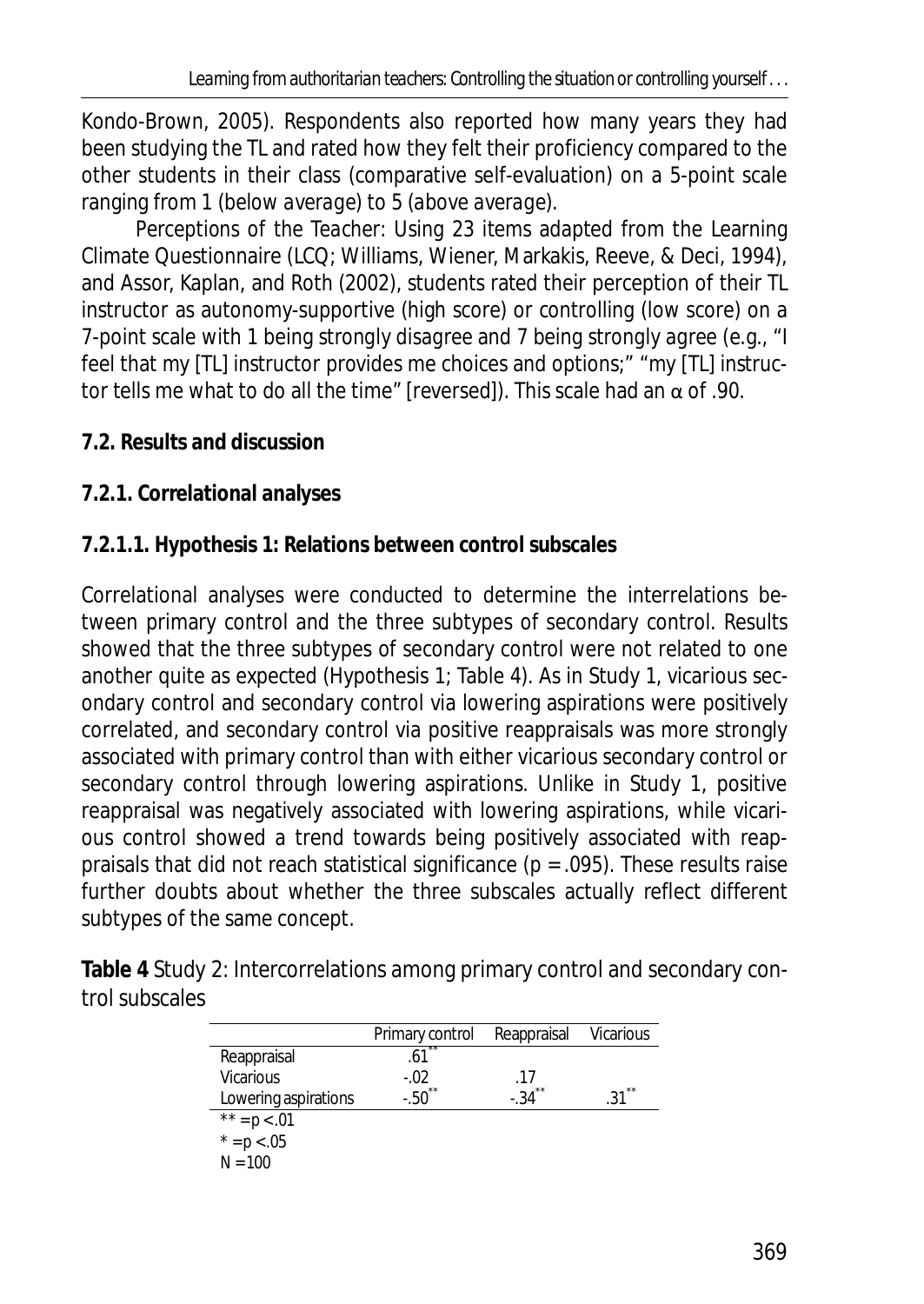Kondo-Brown, 2005). Respondents also reported how many years they had been studying the TL and rated how they felt their proficiency compared to the other students in their class (comparative self-evaluation) on a 5-point scale ranging from 1 (*below average*) to 5 (*above average*).

*Perceptions of the Teacher:* Using 23 items adapted from the Learning Climate Questionnaire (LCQ; Williams, Wiener, Markakis, Reeve, & Deci, 1994), and Assor, Kaplan, and Roth (2002), students rated their perception of their TL instructor as autonomy-supportive (high score) or controlling (low score) on a 7-point scale with 1 being *strongly disagree* and 7 being *strongly agree* (e.g., "I feel that my [TL] instructor provides me choices and options;" "my [TL] instructor tells me what to do all the time" [reversed]). This scale had an  $\alpha$  of .90.

- **7.2. Results and discussion**
- **7.2.1. Correlational analyses**

# **7.2.1.1. Hypothesis 1: Relations between control subscales**

Correlational analyses were conducted to determine the interrelations between primary control and the three subtypes of secondary control. Results showed that the three subtypes of secondary control were not related to one another quite as expected (Hypothesis 1; Table 4). As in Study 1, vicarious secondary control and secondary control via lowering aspirations were positively correlated, and secondary control via positive reappraisals was more strongly associated with primary control than with either vicarious secondary control or secondary control through lowering aspirations. Unlike in Study 1, positive reappraisal was negatively associated with lowering aspirations, while vicarious control showed a trend towards being positively associated with reappraisals that did not reach statistical significance (*p* = .095). These results raise further doubts about whether the three subscales actually reflect different subtypes of the same concept.

**Table 4** Study 2: Intercorrelations among primary control and secondary control subscales

|                      | Primary control | Reappraisal  | Vicarious   |
|----------------------|-----------------|--------------|-------------|
| Reappraisal          | .61             |              |             |
| <b>Vicarious</b>     | $-.02$          | .17          |             |
| Lowering aspirations | $-0.50$ **      | **<br>$-.34$ | $**$<br>.31 |
| ** = $p$ < .01       |                 |              |             |
| * = $p$ < .05        |                 |              |             |
| $N = 100$            |                 |              |             |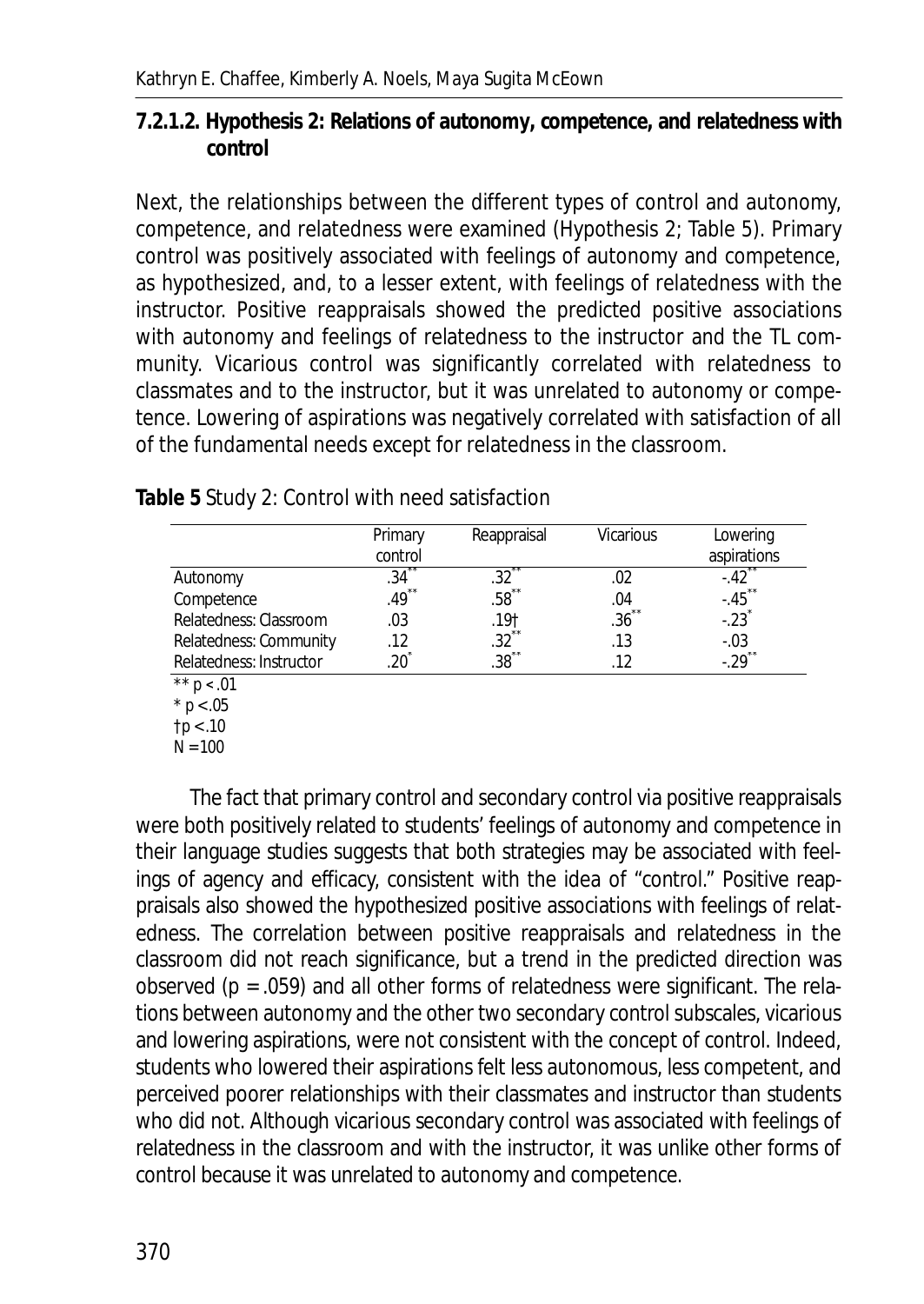**7.2.1.2. Hypothesis 2: Relations of autonomy, competence, and relatedness with control** 

Next, the relationships between the different types of control and autonomy, competence, and relatedness were examined (Hypothesis 2; Table 5). Primary control was positively associated with feelings of autonomy and competence, as hypothesized, and, to a lesser extent, with feelings of relatedness with the instructor. Positive reappraisals showed the predicted positive associations with autonomy and feelings of relatedness to the instructor and the TL community. Vicarious control was significantly correlated with relatedness to classmates and to the instructor, but it was unrelated to autonomy or competence. Lowering of aspirations was negatively correlated with satisfaction of all of the fundamental needs except for relatedness in the classroom.

|                         | Primary<br>control | Reappraisal         | <b>Vicarious</b>    | Lowering<br>aspirations |
|-------------------------|--------------------|---------------------|---------------------|-------------------------|
| Autonomy                | 34                 | .32                 |                     | $-.42$                  |
| Competence              | $*$<br>49          | .58                 | .04                 | $-45$                   |
| Relatedness: Classroom  | .03                | .19†                | $.36$ <sup>**</sup> | $-23$                   |
| Relatedness: Community  | .12                | $.32$ <sup>**</sup> | .13                 | $-.03$                  |
| Relatedness: Instructor | 20                 | $.38$ **            | 12                  | $-.29$ <sup>**</sup>    |
| $*** - .01$             |                    |                     |                     |                         |

**Table 5** Study 2: Control with need satisfaction

 $p < .01$  $*$  *p* < .05

†*p* < .10

*N* = 100

The fact that primary control and secondary control via positive reappraisals were both positively related to students' feelings of autonomy and competence in their language studies suggests that both strategies may be associated with feelings of agency and efficacy, consistent with the idea of "control." Positive reappraisals also showed the hypothesized positive associations with feelings of relatedness. The correlation between positive reappraisals and relatedness in the classroom did not reach significance, but a trend in the predicted direction was observed (*p* = .059) and all other forms of relatedness were significant. The relations between autonomy and the other two secondary control subscales, vicarious and lowering aspirations, were not consistent with the concept of control. Indeed, students who lowered their aspirations felt less autonomous, less competent, and perceived poorer relationships with their classmates and instructor than students who did not. Although vicarious secondary control was associated with feelings of relatedness in the classroom and with the instructor, it was unlike other forms of control because it was unrelated to autonomy and competence.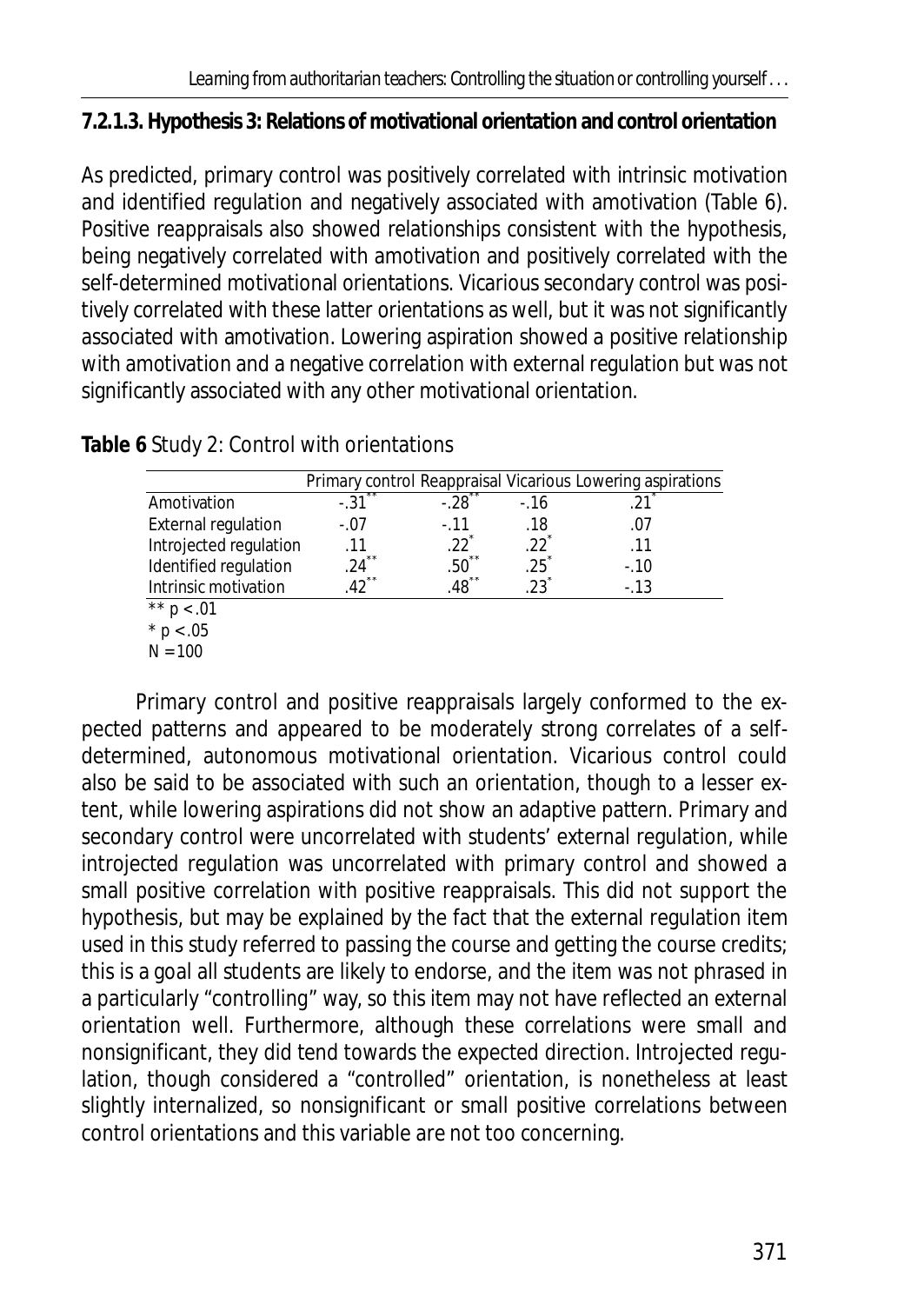## **7.2.1.3. Hypothesis 3: Relations of motivational orientation and control orientation**

As predicted, primary control was positively correlated with intrinsic motivation and identified regulation and negatively associated with amotivation (Table 6). Positive reappraisals also showed relationships consistent with the hypothesis, being negatively correlated with amotivation and positively correlated with the self-determined motivational orientations. Vicarious secondary control was positively correlated with these latter orientations as well, but it was not significantly associated with amotivation. Lowering aspiration showed a positive relationship with amotivation and a negative correlation with external regulation but was not significantly associated with any other motivational orientation.

|                            |               |                     |        | Primary control Reappraisal Vicarious Lowering aspirations |
|----------------------------|---------------|---------------------|--------|------------------------------------------------------------|
| Amotivation                | x x<br>$-.31$ | $-28$               | $-16$  | 21                                                         |
| <b>External regulation</b> | $-.07$        | $-11$               | .18    | .07                                                        |
| Introjected regulation     | .11           | 22                  | 22     | .11                                                        |
| Identified regulation      | 24            | x x<br>.50          | .25    | $-.10$                                                     |
| Intrinsic motivation       | $*$           | $.48$ <sup>**</sup> | $23^*$ | $-.13$                                                     |
| ** $p < .01$               |               |                     |        |                                                            |

**Table 6** Study 2: Control with orientations

Primary control and positive reappraisals largely conformed to the expected patterns and appeared to be moderately strong correlates of a selfdetermined, autonomous motivational orientation. Vicarious control could also be said to be associated with such an orientation, though to a lesser extent, while lowering aspirations did not show an adaptive pattern. Primary and secondary control were uncorrelated with students' external regulation, while introjected regulation was uncorrelated with primary control and showed a small positive correlation with positive reappraisals. This did not support the hypothesis, but may be explained by the fact that the external regulation item used in this study referred to passing the course and getting the course credits; this is a goal all students are likely to endorse, and the item was not phrased in a particularly "controlling" way, so this item may not have reflected an external orientation well. Furthermore, although these correlations were small and nonsignificant, they did tend towards the expected direction. Introjected regulation, though considered a "controlled" orientation, is nonetheless at least slightly internalized, so nonsignificant or small positive correlations between control orientations and this variable are not too concerning.

 $*$  *p* < .05  $N = 100$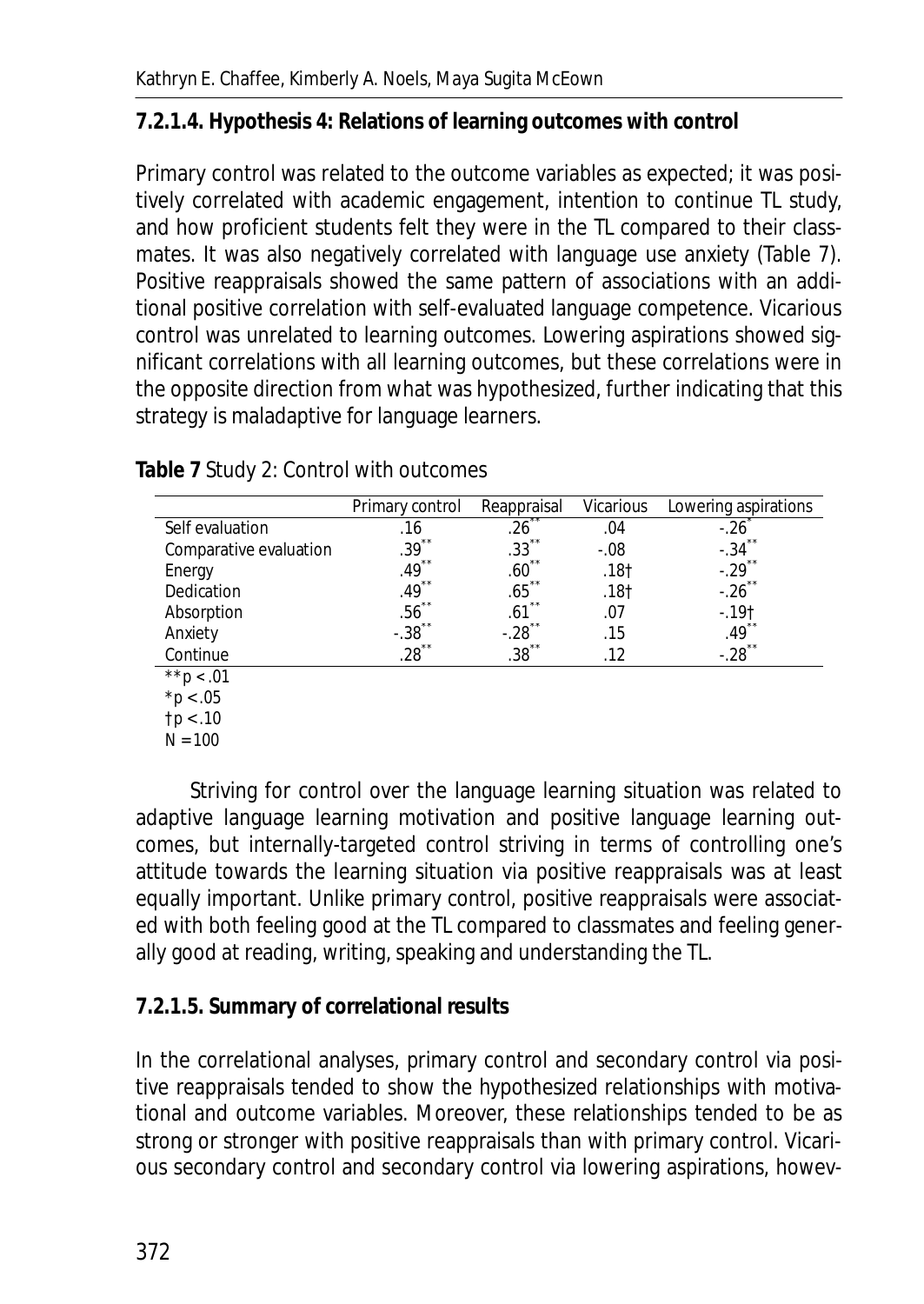## **7.2.1.4. Hypothesis 4: Relations of learning outcomes with control**

Primary control was related to the outcome variables as expected; it was positively correlated with academic engagement, intention to continue TL study, and how proficient students felt they were in the TL compared to their classmates. It was also negatively correlated with language use anxiety (Table 7). Positive reappraisals showed the same pattern of associations with an additional positive correlation with self-evaluated language competence. Vicarious control was unrelated to learning outcomes. Lowering aspirations showed significant correlations with all learning outcomes, but these correlations were in the opposite direction from what was hypothesized, further indicating that this strategy is maladaptive for language learners.

|                        | Primary control     | Reappraisal               | <b>Vicarious</b> | Lowering aspirations |
|------------------------|---------------------|---------------------------|------------------|----------------------|
| Self evaluation        | .16                 | .26                       | .04              |                      |
| Comparative evaluation | $.39$ <sup>**</sup> | $* *$<br>.33 <sup>2</sup> | $-.08$           | $**$<br>$-.34$       |
| Energy                 | $**$<br>.49         | $* *$<br>.60              | .18 <sub>†</sub> | $**$<br>$-.29$       |
| Dedication             | x x<br>.49          | x x<br>.65                | .18†             | x x<br>$-.26$        |
| Absorption             | **<br>.56           | $**$<br>.61               | .07              | $-.19+$              |
| Anxiety                | x x<br>$-.38$       | x x<br>$-.28$             | .15              | x x<br>.49           |
| Continue               | $.28$ <sup>**</sup> | $.38$ **                  | .12              | $*$<br>$-.28$        |
| $*\star p$             |                     |                           |                  |                      |

**Table 7** Study 2: Control with outcomes

\**p* < .05

†*p* < .10 *N* = 100

Striving for control over the language learning situation was related to adaptive language learning motivation and positive language learning outcomes, but internally-targeted control striving in terms of controlling one's attitude towards the learning situation via positive reappraisals was at least equally important. Unlike primary control, positive reappraisals were associated with both feeling good at the TL compared to classmates and feeling generally good at reading, writing, speaking and understanding the TL.

## **7.2.1.5. Summary of correlational results**

In the correlational analyses, primary control and secondary control via positive reappraisals tended to show the hypothesized relationships with motivational and outcome variables. Moreover, these relationships tended to be as strong or stronger with positive reappraisals than with primary control. Vicarious secondary control and secondary control via lowering aspirations, howev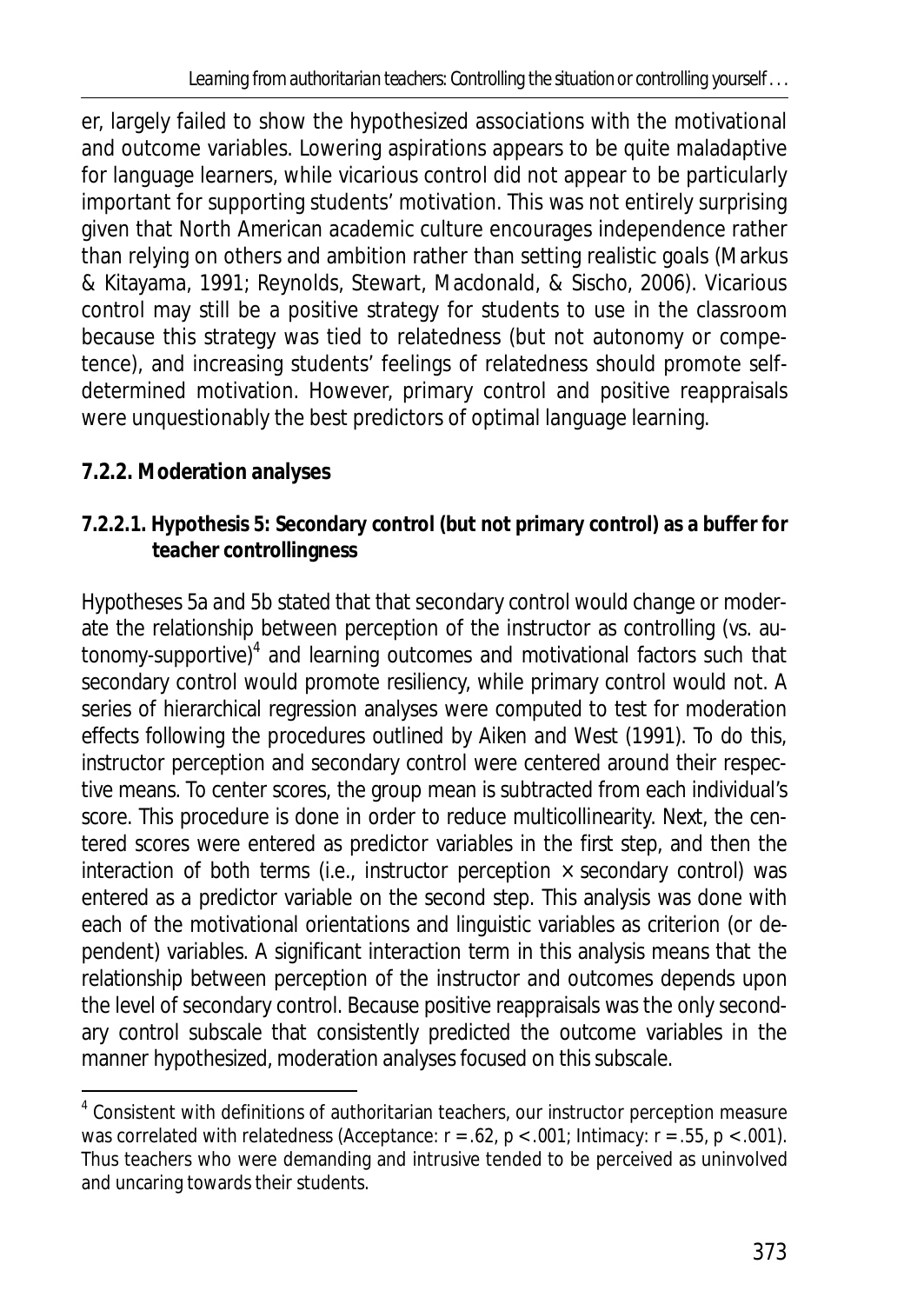er, largely failed to show the hypothesized associations with the motivational and outcome variables. Lowering aspirations appears to be quite maladaptive for language learners, while vicarious control did not appear to be particularly important for supporting students' motivation. This was not entirely surprising given that North American academic culture encourages independence rather than relying on others and ambition rather than setting realistic goals (Markus & Kitayama, 1991; Reynolds, Stewart, Macdonald, & Sischo, 2006). Vicarious control may still be a positive strategy for students to use in the classroom because this strategy was tied to relatedness (but not autonomy or competence), and increasing students' feelings of relatedness should promote selfdetermined motivation. However, primary control and positive reappraisals were unquestionably the best predictors of optimal language learning.

# **7.2.2. Moderation analyses**

 $\overline{\phantom{a}}$ 

**7.2.2.1. Hypothesis 5: Secondary control (but not primary control) as a buffer for teacher controllingness** 

Hypotheses 5a and 5b stated that that secondary control would change or moderate the relationship between perception of the instructor as controlling (vs. autonomy-supportive)<sup>4</sup> and learning outcomes and motivational factors such that secondary control would promote resiliency, while primary control would not. A series of hierarchical regression analyses were computed to test for moderation effects following the procedures outlined by Aiken and West (1991). To do this, instructor perception and secondary control were centered around their respective means. To center scores, the group mean is subtracted from each individual's score. This procedure is done in order to reduce multicollinearity. Next, the centered scores were entered as predictor variables in the first step, and then the interaction of both terms (i.e., instructor perception  $\times$  secondary control) was entered as a predictor variable on the second step. This analysis was done with each of the motivational orientations and linguistic variables as criterion (or dependent) variables. A significant interaction term in this analysis means that the relationship between perception of the instructor and outcomes depends upon the level of secondary control. Because positive reappraisals was the only secondary control subscale that consistently predicted the outcome variables in the manner hypothesized, moderation analyses focused on this subscale.

<sup>&</sup>lt;sup>4</sup> Consistent with definitions of authoritarian teachers, our instructor perception measure was correlated with relatedness (Acceptance: *r* = .62, *p* < .001; Intimacy: *r* = .55, *p* < .001). Thus teachers who were demanding and intrusive tended to be perceived as uninvolved and uncaring towards their students.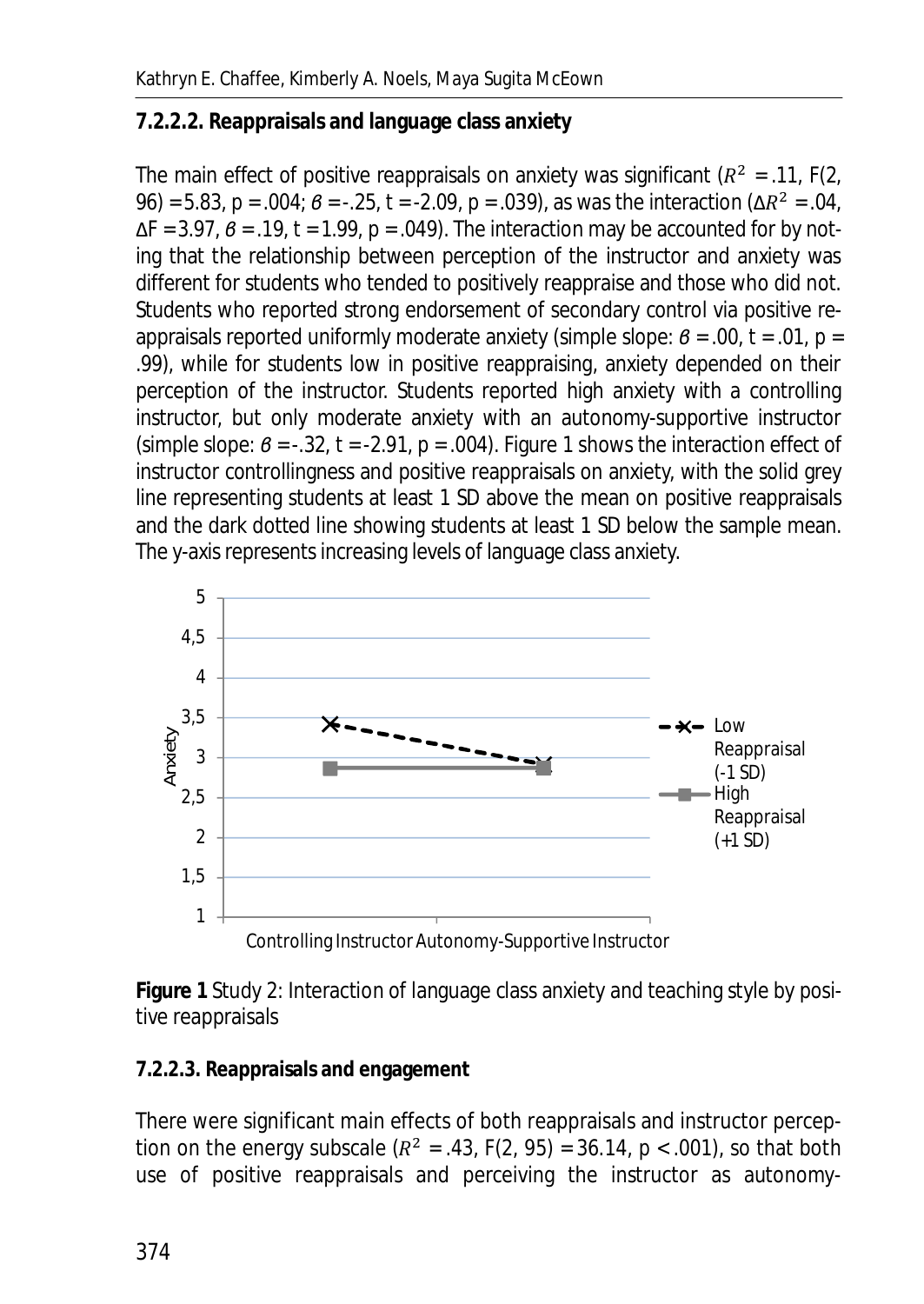## **7.2.2.2. Reappraisals and language class anxiety**

The main effect of positive reappraisals on anxiety was significant  $(R^2 = .11, F(2, ...)$ 96) = 5.83,  $p = .004$ ;  $β = -.25$ ,  $t = -2.09$ ,  $p = .039$ ), as was the interaction (Δ $R^2 = .04$ , ȴ*F* = 3.97, *ɴ* = .19, *t =* 1.99, *p* = .049). The interaction may be accounted for by noting that the relationship between perception of the instructor and anxiety was different for students who tended to positively reappraise and those who did not. Students who reported strong endorsement of secondary control via positive reappraisals reported uniformly moderate anxiety (simple slope:  $\beta$  = .00,  $t$  = .01,  $p$  = .99), while for students low in positive reappraising, anxiety depended on their perception of the instructor. Students reported high anxiety with a controlling instructor, but only moderate anxiety with an autonomy-supportive instructor (simple slope:  $\theta$  = -.32,  $t$  = -2.91,  $p$  = .004). Figure 1 shows the interaction effect of instructor controllingness and positive reappraisals on anxiety, with the solid grey line representing students at least 1 *SD* above the mean on positive reappraisals and the dark dotted line showing students at least 1 *SD* below the sample mean. The y-axis represents increasing levels of language class anxiety.



**Figure 1** Study 2: Interaction of language class anxiety and teaching style by positive reappraisals

## **7.2.2.3. Reappraisals and engagement**

There were significant main effects of both reappraisals and instructor perception on the energy subscale  $(R^2 = .43, F(2, 95) = 36.14, p < .001)$ , so that both use of positive reappraisals and perceiving the instructor as autonomy-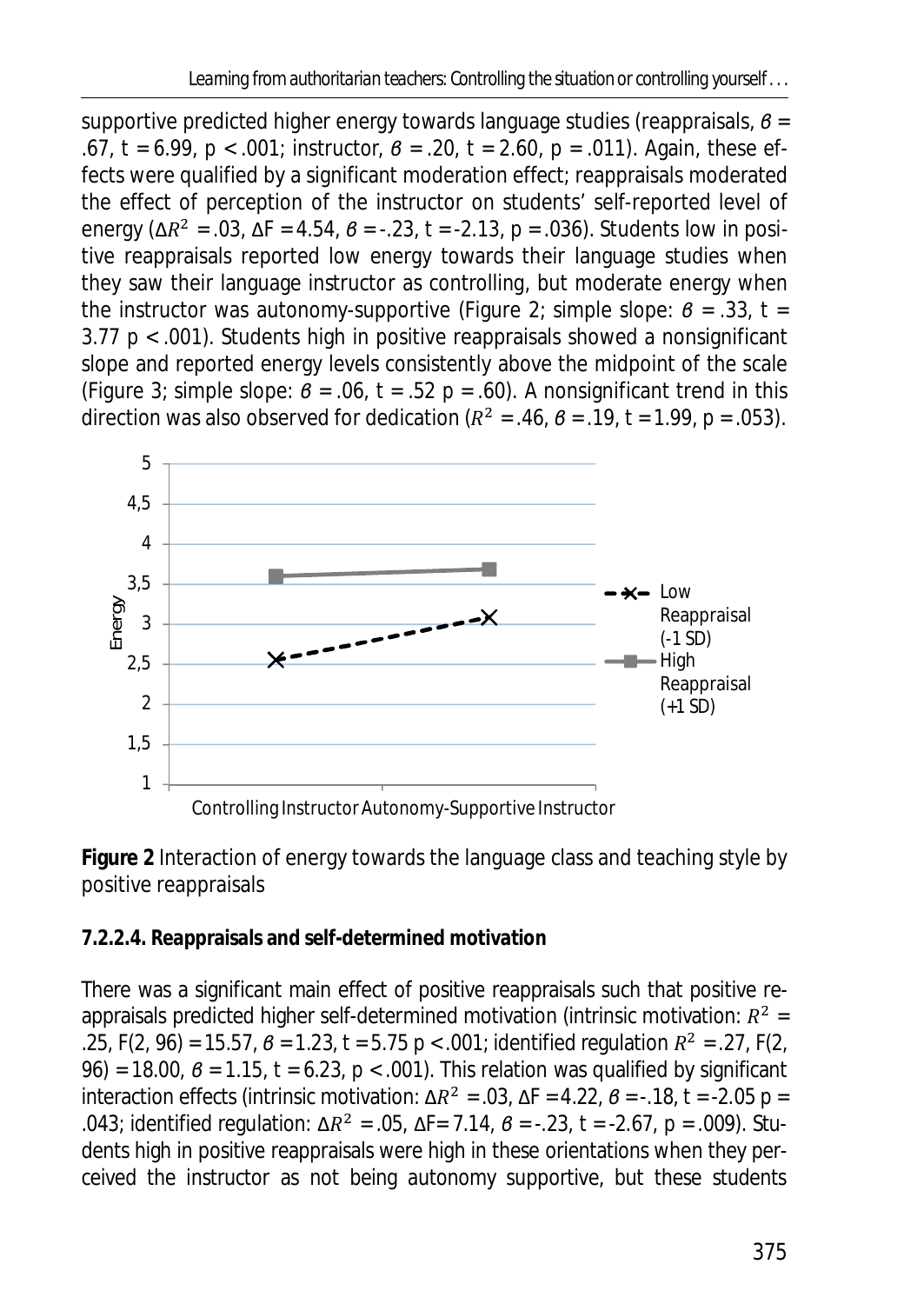supportive predicted higher energy towards language studies (reappraisals, *ɴ* = .67, *t =* 6.99, *p* < .001; instructor, *ɴ* = .20, *t =* 2.60, *p* = .011). Again, these effects were qualified by a significant moderation effect; reappraisals moderated the effect of perception of the instructor on students' self-reported level of energy (Δ $R^2$  = .03, Δ $F$  = 4.54,  $\theta$  = -.23,  $t$  = -2.13,  $\rho$  = .036). Students low in positive reappraisals reported low energy towards their language studies when they saw their language instructor as controlling, but moderate energy when the instructor was autonomy-supportive (Figure 2; simple slope:  $\theta = 0.33$ ,  $t = 0.33$ 3.77 *p* < .001). Students high in positive reappraisals showed a nonsignificant slope and reported energy levels consistently above the midpoint of the scale (Figure 3; simple slope:  $\theta$  = .06,  $t$  = .52  $p$  = .60). A nonsignificant trend in this direction was also observed for dedication ( $R^2$  = .46,  $B$  = .19,  $t$  = 1.99,  $p$  = .053).



**Figure 2** Interaction of energy towards the language class and teaching style by positive reappraisals

**7.2.2.4. Reappraisals and self-determined motivation** 

There was a significant main effect of positive reappraisals such that positive reappraisals predicted higher self-determined motivation (intrinsic motivation:  $R^2$  =  $25, F(2, 96) = 15.57, B = 1.23, t = 5.75, p < .001$ ; identified regulation  $R^2 = .27, F(2, 100)$ 96) = 18.00, *ɴ* = 1.15, *t =* 6.23, *p* < .001). This relation was qualified by significant interaction effects (intrinsic motivation:  $\Delta R^2 = .03$ ,  $\Delta F = 4.22$ ,  $\theta = -.18$ ,  $t = -2.05$   $p =$ .043; identified regulation: Δ $R^2$  = .05, Δ $F$ = 7.14,  $B$  = -.23,  $t$  = -2.67,  $p$  = .009). Students high in positive reappraisals were high in these orientations when they perceived the instructor as not being autonomy supportive, but these students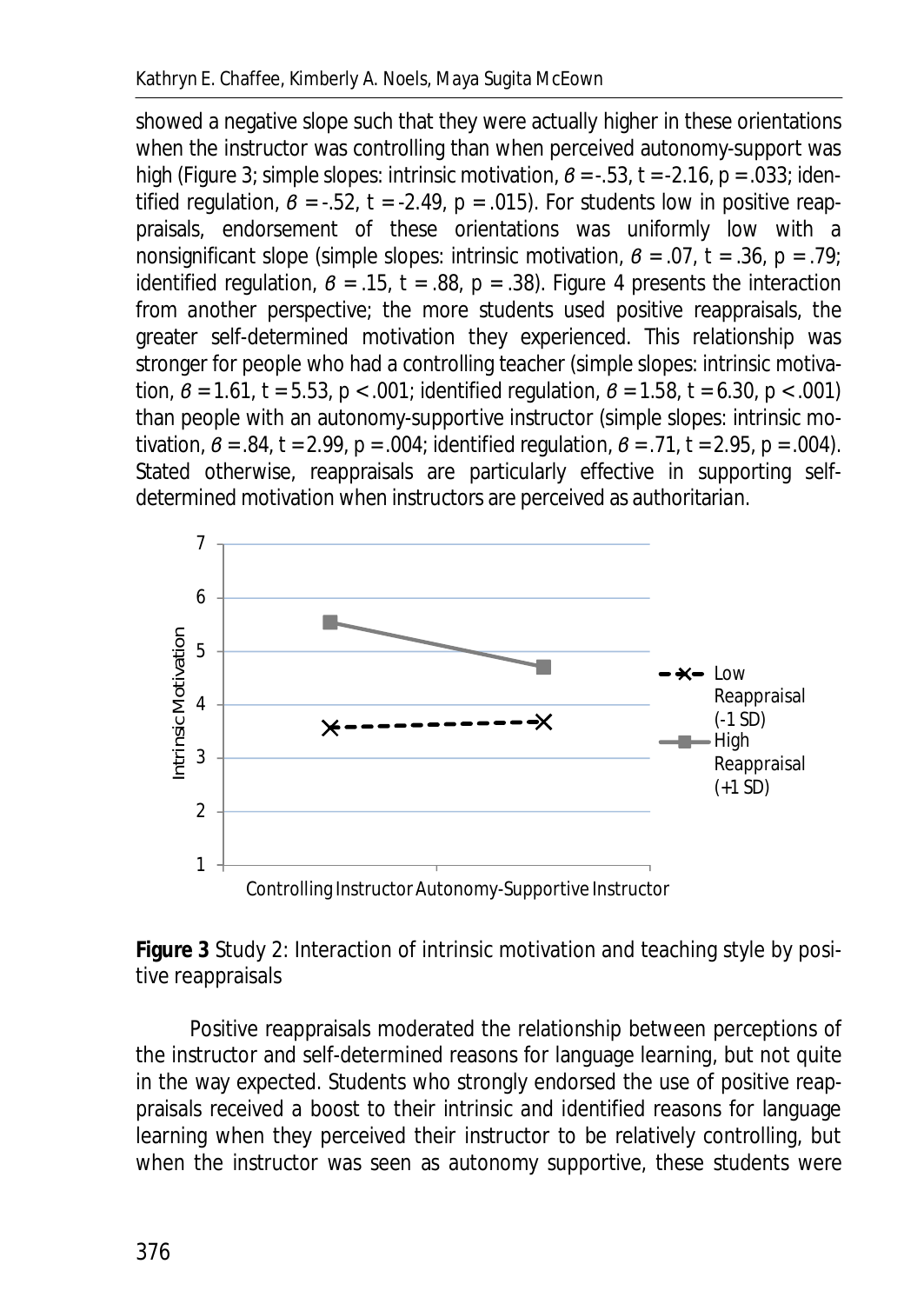showed a negative slope such that they were actually higher in these orientations when the instructor was controlling than when perceived autonomy-support was high (Figure 3; simple slopes: intrinsic motivation,  $\beta$  = -.53,  $t$  = -2.16,  $p$  = .033; identified regulation,  $\beta$  = -.52,  $t$  = -2.49,  $p$  = .015). For students low in positive reappraisals, endorsement of these orientations was uniformly low with a nonsignificant slope (simple slopes: intrinsic motivation,  $\beta$  = .07,  $t$  = .36,  $p$  = .79; identified regulation,  $\beta$  = .15,  $t$  = .88,  $p$  = .38). Figure 4 presents the interaction from another perspective; the more students used positive reappraisals, the greater self-determined motivation they experienced. This relationship was stronger for people who had a controlling teacher (simple slopes: intrinsic motivation,  $\beta$  = 1.61,  $t$  = 5.53,  $p$  < .001; identified regulation,  $\beta$  = 1.58,  $t$  = 6.30,  $p$  < .001) than people with an autonomy-supportive instructor (simple slopes: intrinsic motivation,  $\beta = .84$ ,  $t = 2.99$ ,  $p = .004$ ; identified regulation,  $\beta = .71$ ,  $t = 2.95$ ,  $p = .004$ ). Stated otherwise, reappraisals are particularly effective in supporting selfdetermined motivation when instructors are perceived as authoritarian.



**Figure 3** Study 2: Interaction of intrinsic motivation and teaching style by positive reappraisals

Positive reappraisals moderated the relationship between perceptions of the instructor and self-determined reasons for language learning, but not quite in the way expected. Students who strongly endorsed the use of positive reappraisals received a boost to their intrinsic and identified reasons for language learning when they perceived their instructor to be relatively controlling, but when the instructor was seen as autonomy supportive, these students were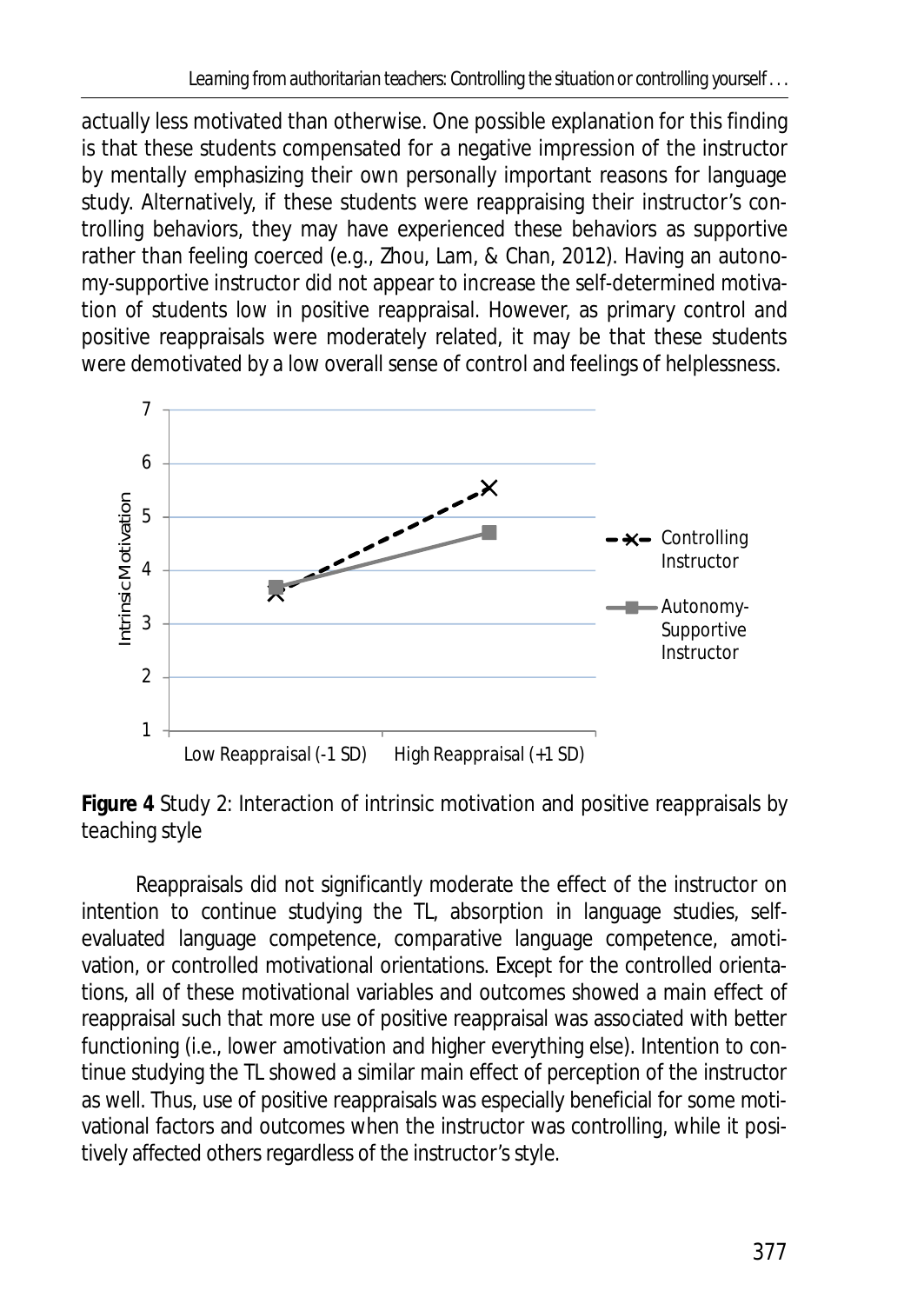actually less motivated than otherwise. One possible explanation for this finding is that these students compensated for a negative impression of the instructor by mentally emphasizing their own personally important reasons for language study. Alternatively, if these students were reappraising their instructor's controlling behaviors, they may have experienced these behaviors as supportive rather than feeling coerced (e.g., Zhou, Lam, & Chan, 2012). Having an autonomy-supportive instructor did not appear to increase the self-determined motivation of students low in positive reappraisal. However, as primary control and positive reappraisals were moderately related, it may be that these students were demotivated by a low overall sense of control and feelings of helplessness.





Reappraisals did not significantly moderate the effect of the instructor on intention to continue studying the TL, absorption in language studies, selfevaluated language competence, comparative language competence, amotivation, or controlled motivational orientations. Except for the controlled orientations, all of these motivational variables and outcomes showed a main effect of reappraisal such that more use of positive reappraisal was associated with better functioning (i.e., lower amotivation and higher everything else). Intention to continue studying the TL showed a similar main effect of perception of the instructor as well. Thus, use of positive reappraisals was especially beneficial for some motivational factors and outcomes when the instructor was controlling, while it positively affected others regardless of the instructor's style.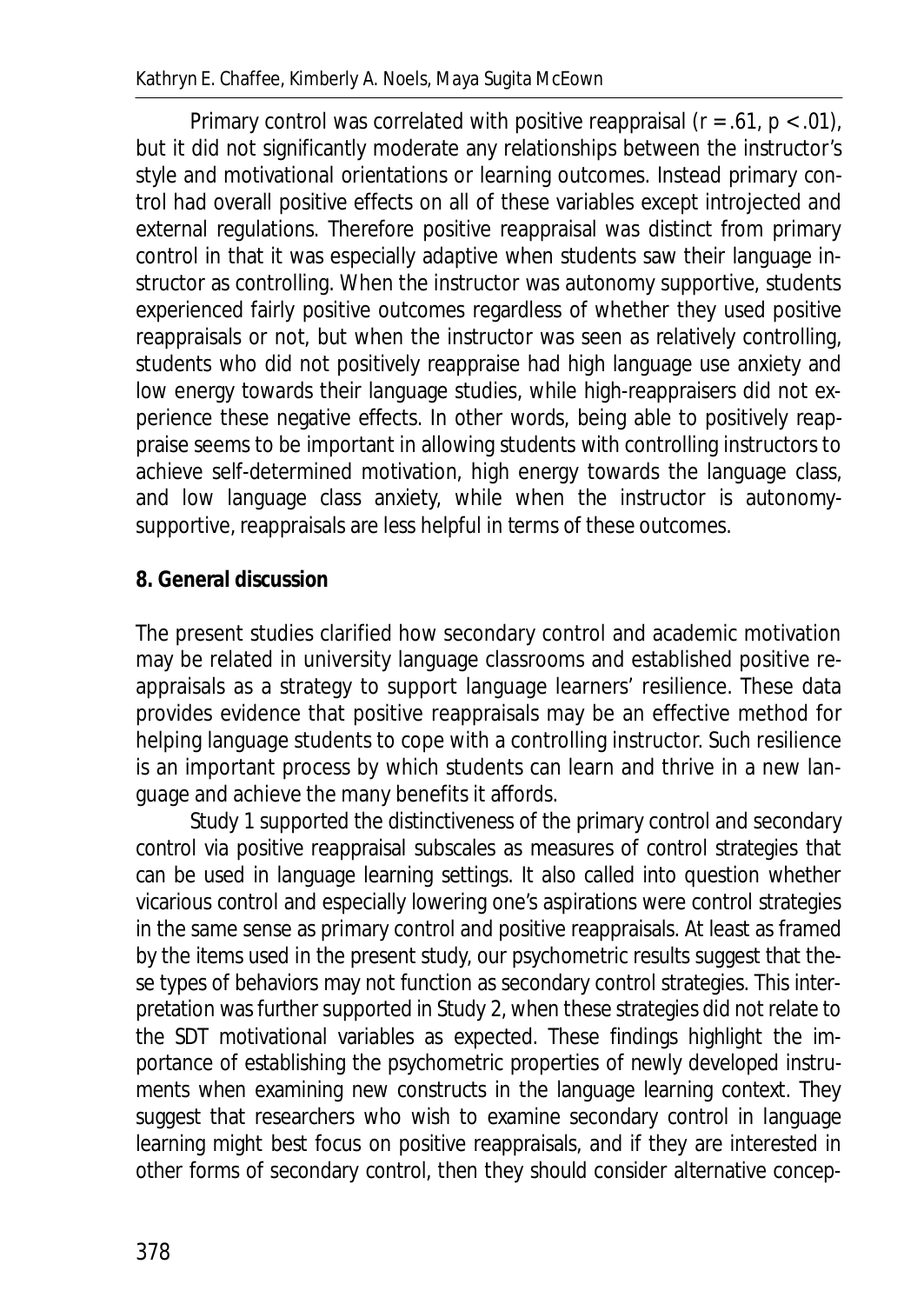Primary control was correlated with positive reappraisal (*r* = .61, *p* < .01), but it did not significantly moderate any relationships between the instructor's style and motivational orientations or learning outcomes. Instead primary control had overall positive effects on all of these variables except introjected and external regulations. Therefore positive reappraisal was distinct from primary control in that it was especially adaptive when students saw their language instructor as controlling. When the instructor was autonomy supportive, students experienced fairly positive outcomes regardless of whether they used positive reappraisals or not, but when the instructor was seen as relatively controlling, students who did not positively reappraise had high language use anxiety and low energy towards their language studies, while high-reappraisers did not experience these negative effects. In other words, being able to positively reappraise seems to be important in allowing students with controlling instructors to achieve self-determined motivation, high energy towards the language class, and low language class anxiety, while when the instructor is autonomysupportive, reappraisals are less helpful in terms of these outcomes.

#### **8. General discussion**

The present studies clarified how secondary control and academic motivation may be related in university language classrooms and established positive reappraisals as a strategy to support language learners' resilience. These data provides evidence that positive reappraisals may be an effective method for helping language students to cope with a controlling instructor. Such resilience is an important process by which students can learn and thrive in a new language and achieve the many benefits it affords.

Study 1 supported the distinctiveness of the primary control and secondary control via positive reappraisal subscales as measures of control strategies that can be used in language learning settings. It also called into question whether vicarious control and especially lowering one's aspirations were control strategies in the same sense as primary control and positive reappraisals. At least as framed by the items used in the present study, our psychometric results suggest that these types of behaviors may not function as secondary control strategies. This interpretation was further supported in Study 2, when these strategies did not relate to the SDT motivational variables as expected. These findings highlight the importance of establishing the psychometric properties of newly developed instruments when examining new constructs in the language learning context. They suggest that researchers who wish to examine secondary control in language learning might best focus on positive reappraisals, and if they are interested in other forms of secondary control, then they should consider alternative concep-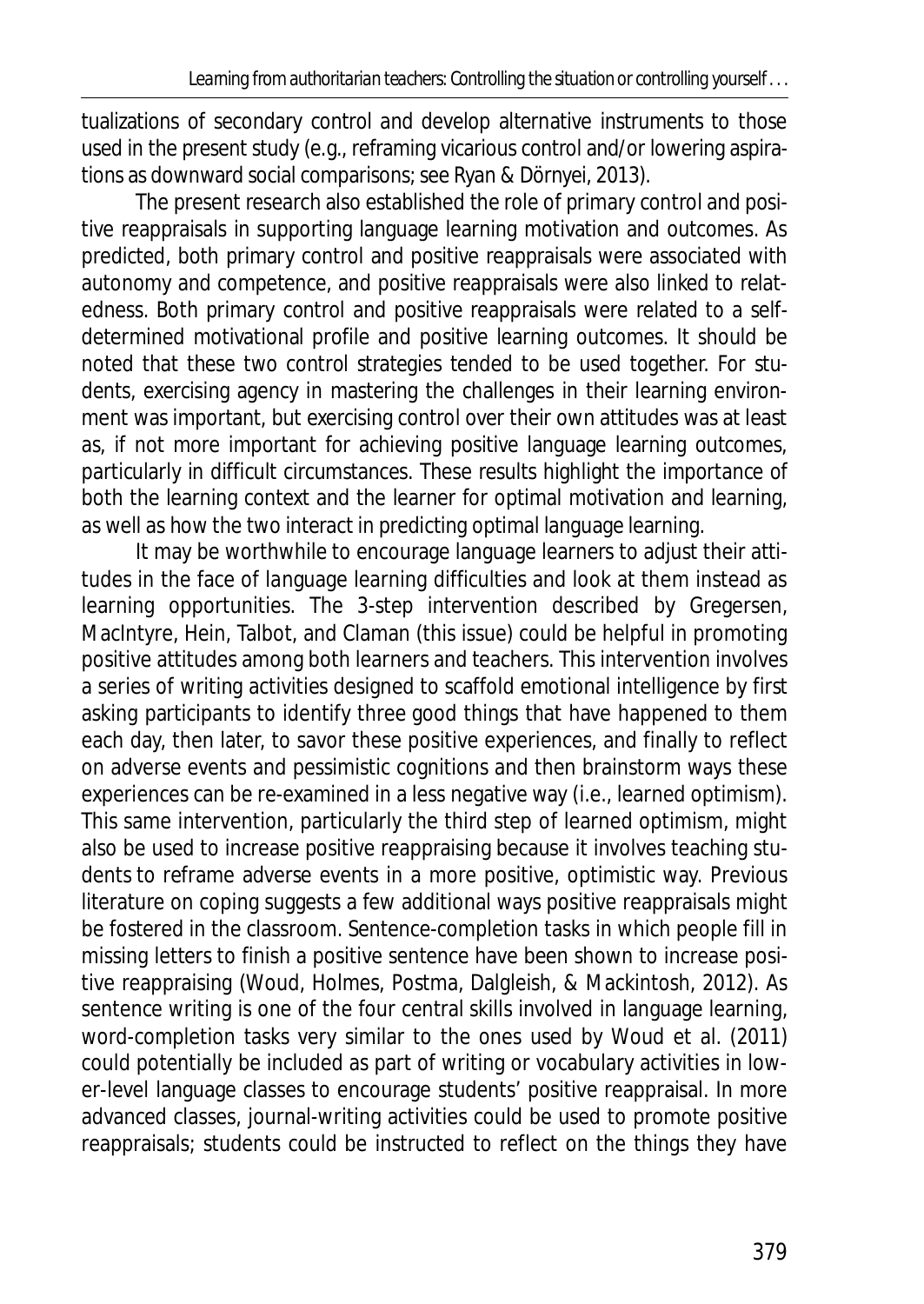tualizations of secondary control and develop alternative instruments to those used in the present study (e.g., reframing vicarious control and/or lowering aspirations as downward social comparisons; see Ryan & Dörnyei, 2013).

The present research also established the role of primary control and positive reappraisals in supporting language learning motivation and outcomes. As predicted, both primary control and positive reappraisals were associated with autonomy and competence, and positive reappraisals were also linked to relatedness. Both primary control and positive reappraisals were related to a selfdetermined motivational profile and positive learning outcomes. It should be noted that these two control strategies tended to be used together. For students, exercising agency in mastering the challenges in their learning environment was important, but exercising control over their own attitudes was at least as, if not more important for achieving positive language learning outcomes, particularly in difficult circumstances. These results highlight the importance of both the learning context and the learner for optimal motivation and learning, as well as how the two interact in predicting optimal language learning.

It may be worthwhile to encourage language learners to adjust their attitudes in the face of language learning difficulties and look at them instead as learning opportunities. The 3-step intervention described by Gregersen, MacIntyre, Hein, Talbot, and Claman (this issue) could be helpful in promoting positive attitudes among both learners and teachers. This intervention involves a series of writing activities designed to scaffold emotional intelligence by first asking participants to identify three good things that have happened to them each day, then later, to savor these positive experiences, and finally to reflect on adverse events and pessimistic cognitions and then brainstorm ways these experiences can be re-examined in a less negative way (i.e., learned optimism). This same intervention, particularly the third step of learned optimism, might also be used to increase positive reappraising because it involves teaching students to reframe adverse events in a more positive, optimistic way. Previous literature on coping suggests a few additional ways positive reappraisals might be fostered in the classroom. Sentence-completion tasks in which people fill in missing letters to finish a positive sentence have been shown to increase positive reappraising (Woud, Holmes, Postma, Dalgleish, & Mackintosh, 2012). As sentence writing is one of the four central skills involved in language learning, word-completion tasks very similar to the ones used by Woud et al. (2011) could potentially be included as part of writing or vocabulary activities in lower-level language classes to encourage students' positive reappraisal. In more advanced classes, journal-writing activities could be used to promote positive reappraisals; students could be instructed to reflect on the things they have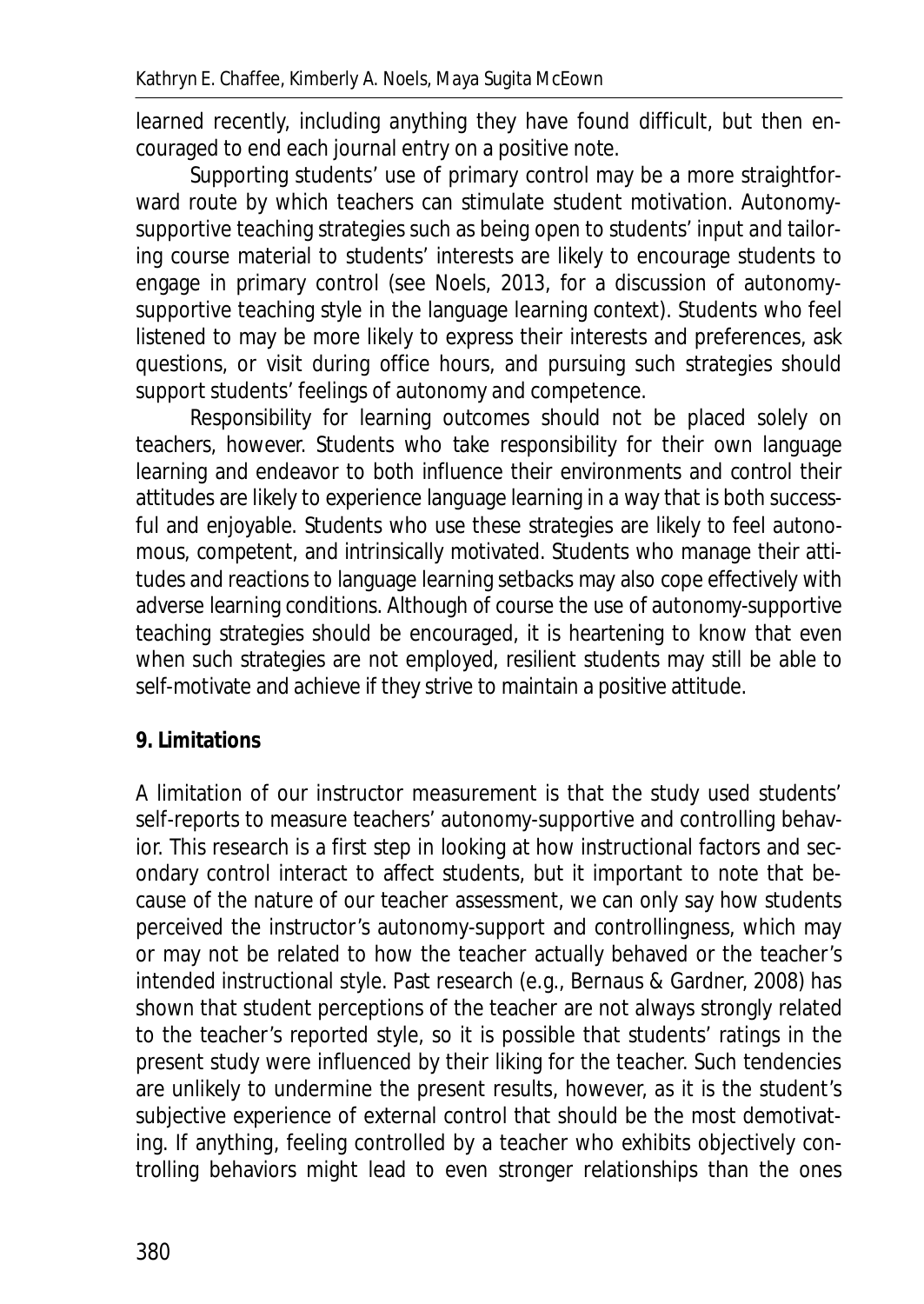learned recently, including anything they have found difficult, but then encouraged to end each journal entry on a positive note.

Supporting students' use of primary control may be a more straightforward route by which teachers can stimulate student motivation. Autonomysupportive teaching strategies such as being open to students' input and tailoring course material to students' interests are likely to encourage students to engage in primary control (see Noels, 2013, for a discussion of autonomysupportive teaching style in the language learning context). Students who feel listened to may be more likely to express their interests and preferences, ask questions, or visit during office hours, and pursuing such strategies should support students' feelings of autonomy and competence.

Responsibility for learning outcomes should not be placed solely on teachers, however. Students who take responsibility for their own language learning and endeavor to both influence their environments and control their attitudes are likely to experience language learning in a way that is both successful and enjoyable. Students who use these strategies are likely to feel autonomous, competent, and intrinsically motivated. Students who manage their attitudes and reactions to language learning setbacks may also cope effectively with adverse learning conditions. Although of course the use of autonomy-supportive teaching strategies should be encouraged, it is heartening to know that even when such strategies are not employed, resilient students may still be able to self-motivate and achieve if they strive to maintain a positive attitude.

## **9. Limitations**

A limitation of our instructor measurement is that the study used students' self-reports to measure teachers' autonomy-supportive and controlling behavior. This research is a first step in looking at how instructional factors and secondary control interact to affect students, but it important to note that because of the nature of our teacher assessment, we can only say how students perceived the instructor's autonomy-support and controllingness, which may or may not be related to how the teacher actually behaved or the teacher's intended instructional style. Past research (e.g., Bernaus & Gardner, 2008) has shown that student perceptions of the teacher are not always strongly related to the teacher's reported style, so it is possible that students' ratings in the present study were influenced by their liking for the teacher. Such tendencies are unlikely to undermine the present results, however, as it is the student's subjective experience of external control that should be the most demotivating. If anything, feeling controlled by a teacher who exhibits objectively controlling behaviors might lead to even stronger relationships than the ones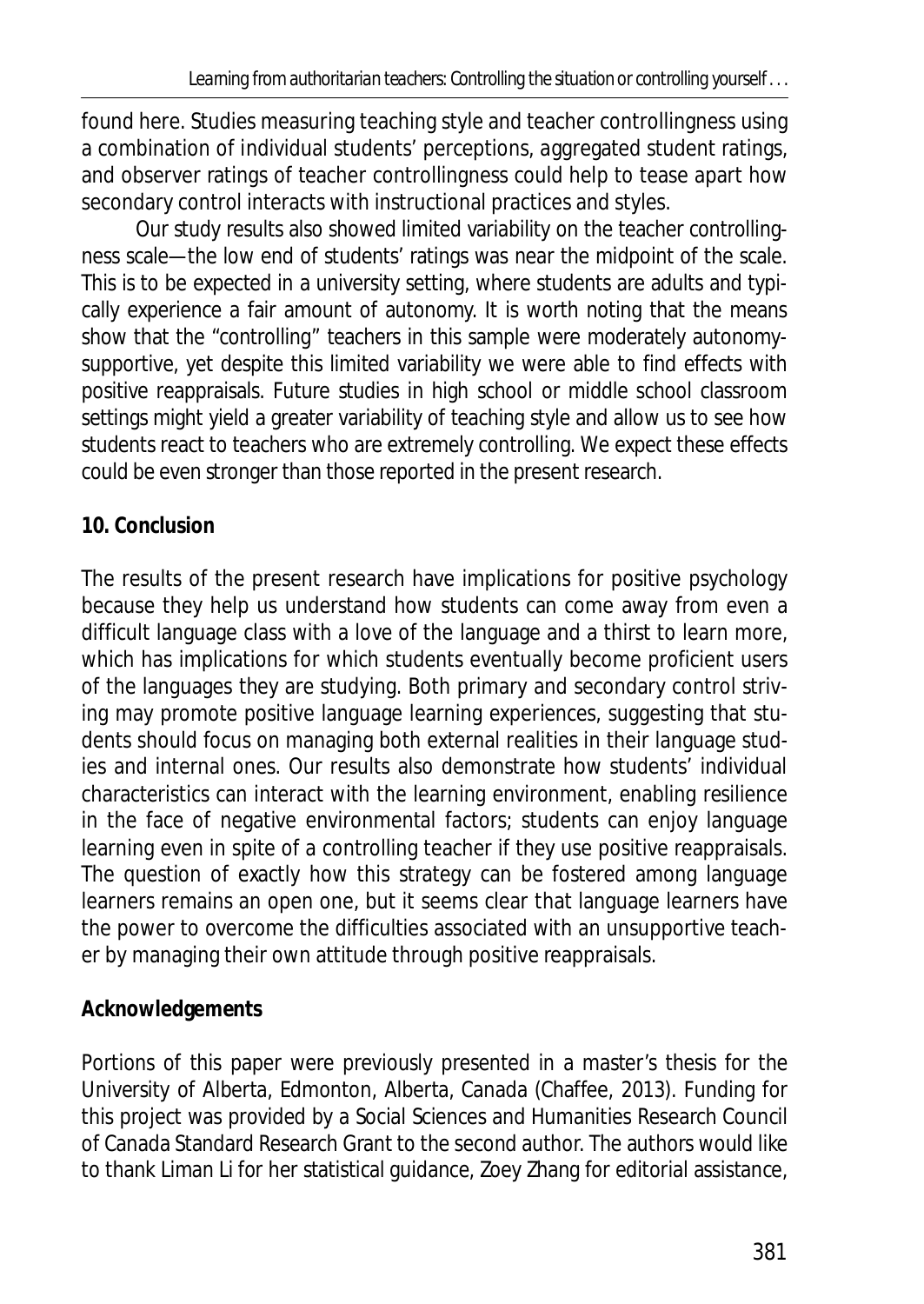found here. Studies measuring teaching style and teacher controllingness using a combination of individual students' perceptions, aggregated student ratings, and observer ratings of teacher controllingness could help to tease apart how secondary control interacts with instructional practices and styles.

Our study results also showed limited variability on the teacher controllingness scale—the low end of students' ratings was near the midpoint of the scale. This is to be expected in a university setting, where students are adults and typically experience a fair amount of autonomy. It is worth noting that the means show that the "controlling" teachers in this sample were moderately autonomysupportive, yet despite this limited variability we were able to find effects with positive reappraisals. Future studies in high school or middle school classroom settings might yield a greater variability of teaching style and allow us to see how students react to teachers who are extremely controlling. We expect these effects could be even stronger than those reported in the present research.

## **10. Conclusion**

The results of the present research have implications for positive psychology because they help us understand how students can come away from even a difficult language class with a love of the language and a thirst to learn more, which has implications for which students eventually become proficient users of the languages they are studying. Both primary and secondary control striving may promote positive language learning experiences, suggesting that students should focus on managing both external realities in their language studies and internal ones. Our results also demonstrate how students' individual characteristics can interact with the learning environment, enabling resilience in the face of negative environmental factors; students can enjoy language learning even in spite of a controlling teacher if they use positive reappraisals. The question of exactly how this strategy can be fostered among language learners remains an open one, but it seems clear that language learners have the power to overcome the difficulties associated with an unsupportive teacher by managing their own attitude through positive reappraisals.

## **Acknowledgements**

Portions of this paper were previously presented in a master's thesis for the University of Alberta, Edmonton, Alberta, Canada (Chaffee, 2013). Funding for this project was provided by a Social Sciences and Humanities Research Council of Canada Standard Research Grant to the second author. The authors would like to thank Liman Li for her statistical guidance, Zoey Zhang for editorial assistance,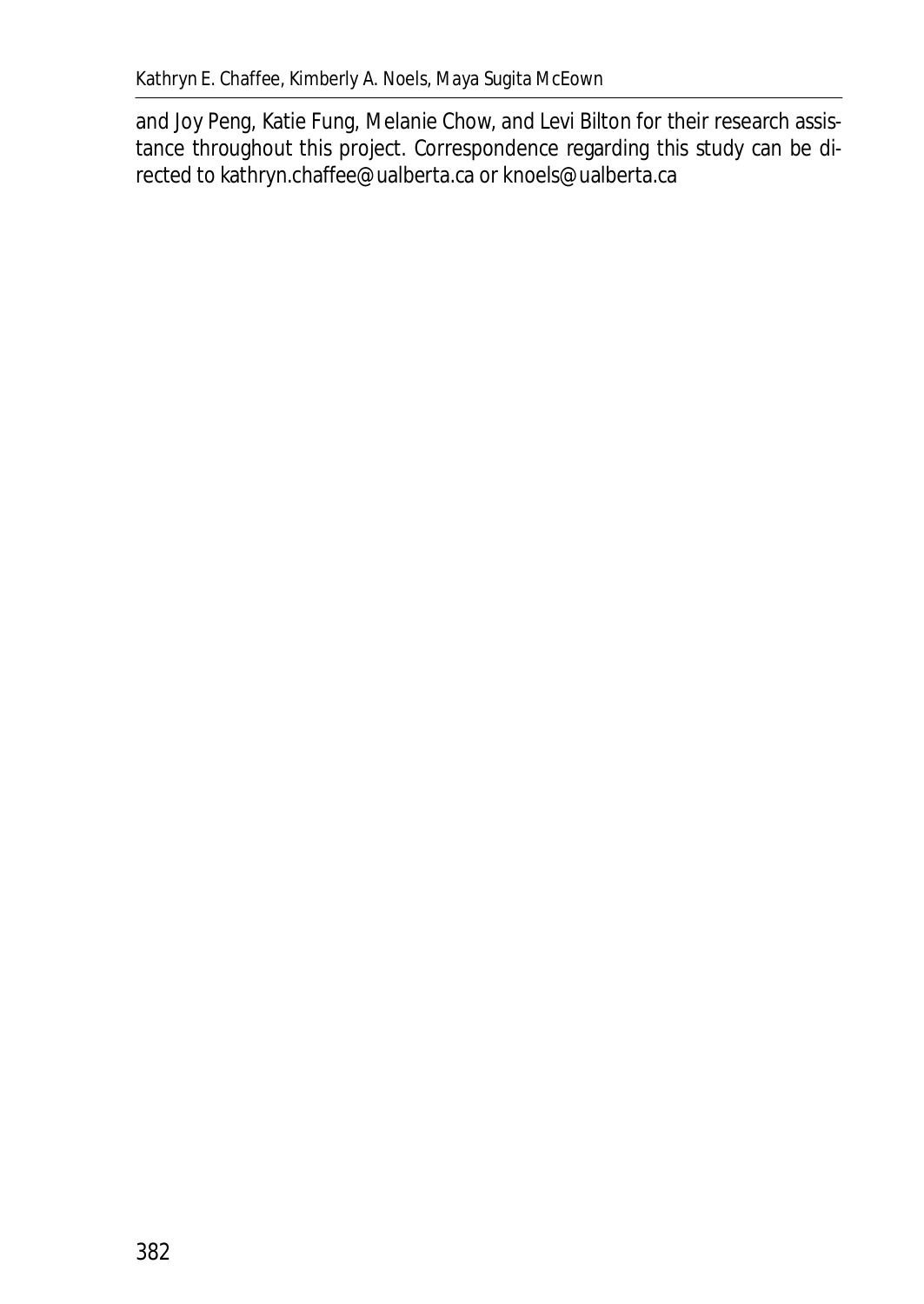and Joy Peng, Katie Fung, Melanie Chow, and Levi Bilton for their research assistance throughout this project. Correspondence regarding this study can be directed to kathryn.chaffee@ualberta.ca or knoels@ualberta.ca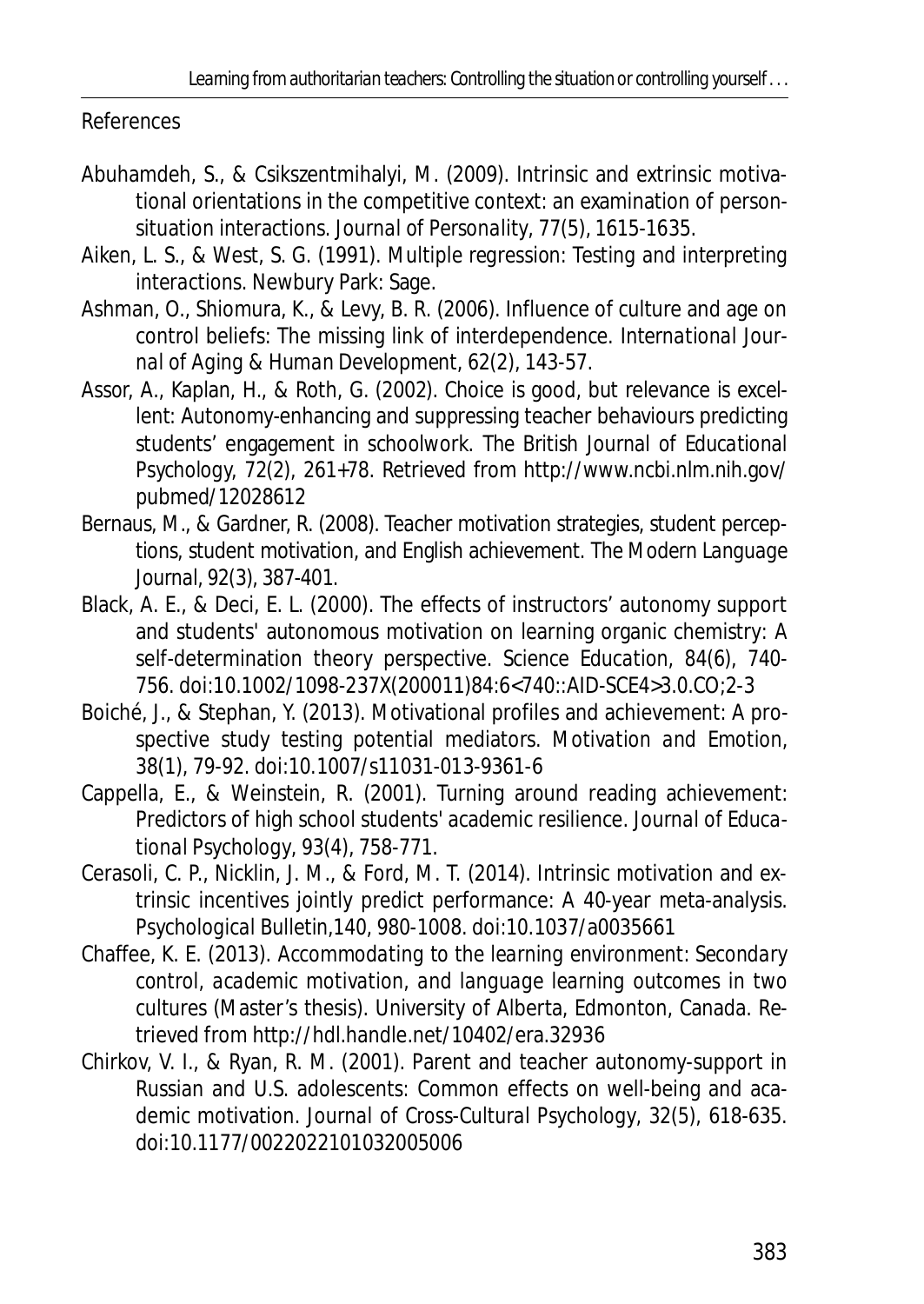References

- Abuhamdeh, S., & Csikszentmihalyi, M. (2009). Intrinsic and extrinsic motivational orientations in the competitive context: an examination of personsituation interactions. *Journal of Personality*, *77*(5), 1615-1635.
- Aiken, L. S., & West, S. G. (1991). *Multiple regression: Testing and interpreting interactions*. Newbury Park: Sage.
- Ashman, O., Shiomura, K., & Levy, B. R. (2006). Influence of culture and age on control beliefs: The missing link of interdependence. *International Journal of Aging & Human Development*, *62*(2), 143-57.
- Assor, A., Kaplan, H., & Roth, G. (2002). Choice is good, but relevance is excellent: Autonomy-enhancing and suppressing teacher behaviours predicting students' engagement in schoolwork. *The British Journal of Educational Psychology, 72(2),* 261+78. Retrieved from http://www.ncbi.nlm.nih.gov/ pubmed/12028612
- Bernaus, M., & Gardner, R. (2008). Teacher motivation strategies, student perceptions, student motivation, and English achievement. *The Modern Language Journal*, *92*(3), 387-401.
- Black, A. E., & Deci, E. L. (2000). The effects of instructors' autonomy support and students' autonomous motivation on learning organic chemistry: A self-determination theory perspective. *Science Education, 84*(6), 740- 756. doi:10.1002/1098-237X(200011)84:6<740::AID-SCE4>3.0.CO;2-3
- Boiché, J., & Stephan, Y. (2013). Motivational profiles and achievement: A prospective study testing potential mediators. *Motivation and Emotion*, *38*(1), 79-92. doi:10.1007/s11031-013-9361-6
- Cappella, E., & Weinstein, R. (2001). Turning around reading achievement: Predictors of high school students' academic resilience. *Journal of Educational Psychology*, *93*(4), 758-771.
- Cerasoli, C. P., Nicklin, J. M., & Ford, M. T. (2014). Intrinsic motivation and extrinsic incentives jointly predict performance: A 40-year meta-analysis. *Psychological Bulletin,140*, 980-1008. doi:10.1037/a0035661
- Chaffee, K. E. (2013). *Accommodating to the learning environment: Secondary control, academic motivation, and language learning outcomes in two cultures* (Master's thesis). University of Alberta, Edmonton, Canada. Retrieved from http://hdl.handle.net/10402/era.32936
- Chirkov, V. I., & Ryan, R. M. (2001). Parent and teacher autonomy-support in Russian and U.S. adolescents: Common effects on well-being and academic motivation. *Journal of Cross-Cultural Psychology*, *32*(5), 618-635. doi:10.1177/0022022101032005006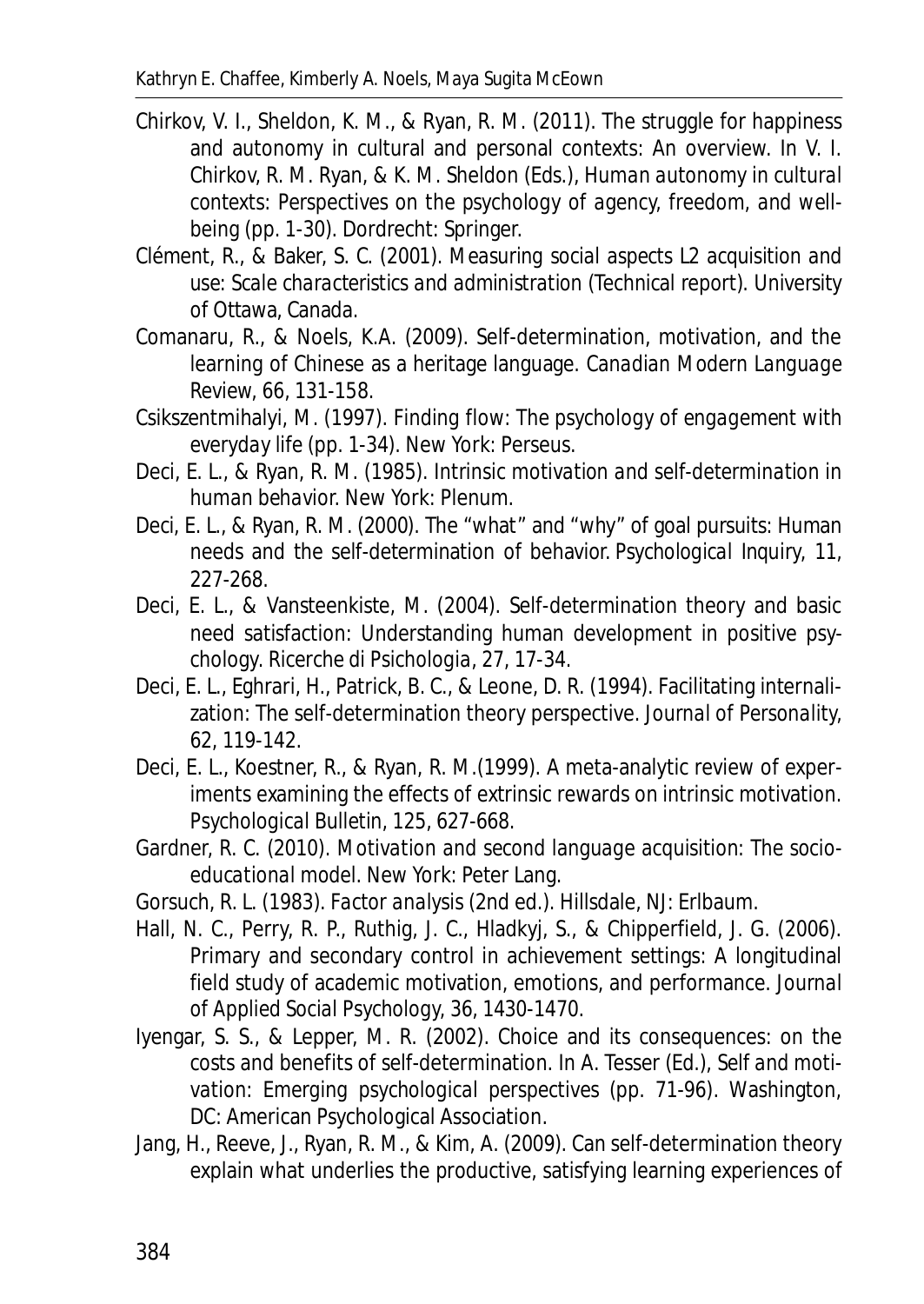- Chirkov, V. I., Sheldon, K. M., & Ryan, R. M. (2011). The struggle for happiness and autonomy in cultural and personal contexts: An overview. In V. I. Chirkov, R. M. Ryan, & K. M. Sheldon (Eds.), *Human autonomy in cultural contexts: Perspectives on the psychology of agency, freedom, and wellbeing* (pp. 1-30). Dordrecht: Springer.
- Clément, R., & Baker, S. C. (2001). *Measuring social aspects L2 acquisition and use: Scale characteristics and administration* (Technical report). University of Ottawa, Canada.
- Comanaru, R., & Noels, K.A. (2009). Self-determination, motivation, and the learning of Chinese as a heritage language. *Canadian Modern Language Review, 66,* 131-158.
- Csikszentmihalyi, M. (1997). *Finding flow: The psychology of engagement with everyday life* (pp. 1-34). New York: Perseus.
- Deci, E. L., & Ryan, R. M. (1985*). Intrinsic motivation and self-determination in human behavior.* New York: Plenum.
- Deci, E. L., & Ryan, R. M. (2000). The "what" and "why" of goal pursuits: Human needs and the self-determination of behavior. *Psychological Inquiry, 11*, 227-268.
- Deci, E. L., & Vansteenkiste, M. (2004). Self-determination theory and basic need satisfaction: Understanding human development in positive psychology. *Ricerche di Psichologia*, *27*, 17-34.
- Deci, E. L., Eghrari, H., Patrick, B. C., & Leone, D. R. (1994). Facilitating internalization: The self-determination theory perspective. *Journal of Personality, 62,* 119-142.
- Deci, E. L., Koestner, R., & Ryan, R. M.(1999). A meta-analytic review of experiments examining the effects of extrinsic rewards on intrinsic motivation. *Psychological Bulletin, 125,* 627-668.
- Gardner, R. C. (2010). *Motivation and second language acquisition: The socioeducational model*. New York: Peter Lang.
- Gorsuch, R. L. (1983). *Factor analysis* (2nd ed.). Hillsdale, NJ: Erlbaum.
- Hall, N. C., Perry, R. P., Ruthig, J. C., Hladkyj, S., & Chipperfield, J. G. (2006). Primary and secondary control in achievement settings: A longitudinal field study of academic motivation, emotions, and performance. *Journal of Applied Social Psychology, 36*, 1430-1470.
- Iyengar, S. S., & Lepper, M. R. (2002). Choice and its consequences: on the costs and benefits of self-determination. In A. Tesser (Ed.), *Self and motivation: Emerging psychological perspectives* (pp. 71-96). Washington, DC: American Psychological Association.
- Jang, H., Reeve, J., Ryan, R. M., & Kim, A. (2009). Can self-determination theory explain what underlies the productive, satisfying learning experiences of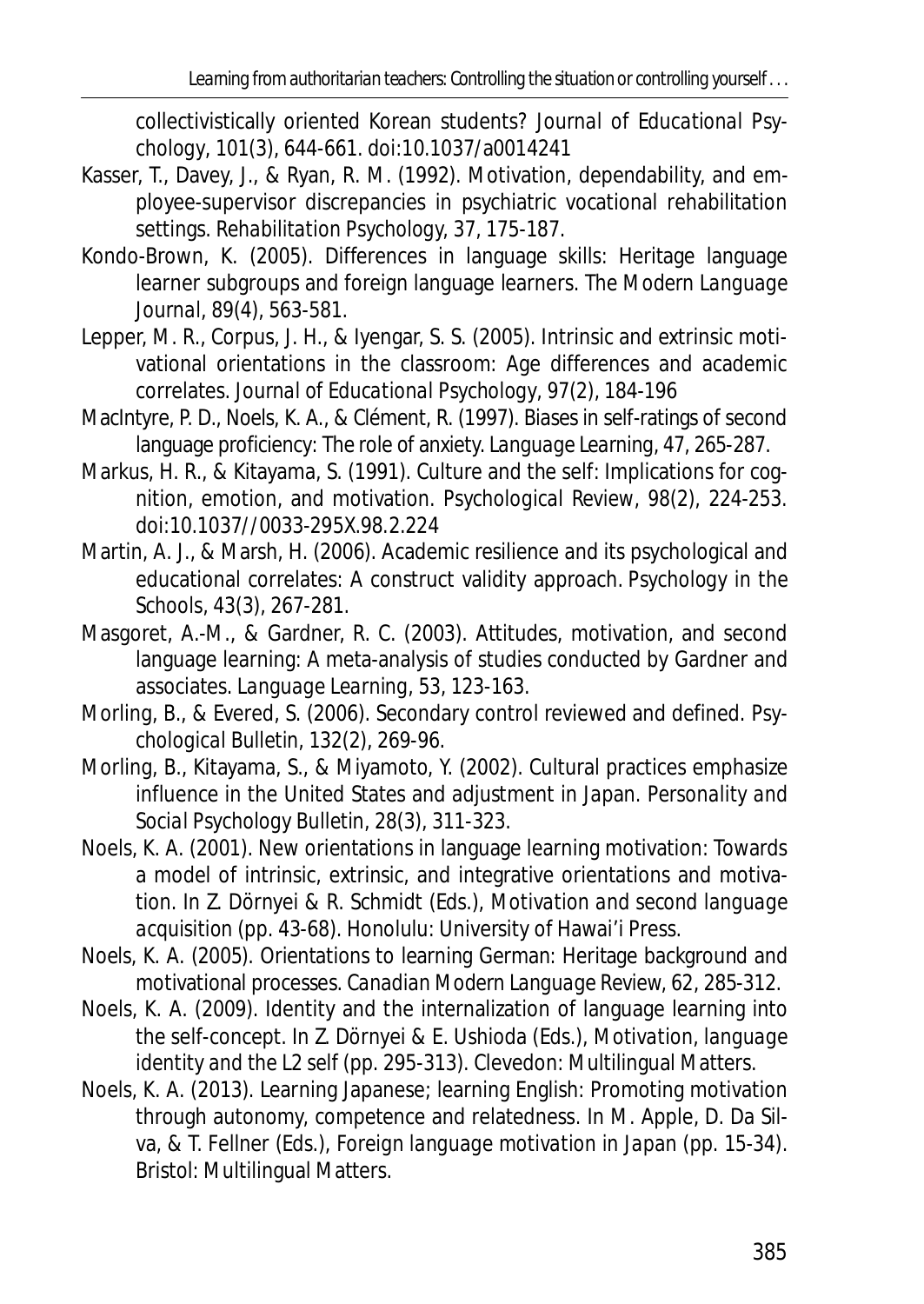collectivistically oriented Korean students? *Journal of Educational Psychology*, *101*(3), 644-661. doi:10.1037/a0014241

- Kasser, T., Davey, J., & Ryan, R. M. (1992). Motivation, dependability, and employee-supervisor discrepancies in psychiatric vocational rehabilitation settings. *Rehabilitation Psychology, 37,* 175-187.
- Kondo-Brown, K. (2005). Differences in language skills: Heritage language learner subgroups and foreign language learners. *The Modern Language Journal*, *89*(4), 563-581.
- Lepper, M. R., Corpus, J. H., & Iyengar, S. S. (2005). Intrinsic and extrinsic motivational orientations in the classroom: Age differences and academic correlates. *Journal of Educational Psychology*, *97*(2), 184-196
- MacIntyre, P. D., Noels, K. A., & Clément, R. (1997). Biases in self-ratings of second language proficiency: The role of anxiety. *Language Learning*, *47*, 265-287.
- Markus, H. R., & Kitayama, S. (1991). Culture and the self: Implications for cognition, emotion, and motivation. *Psychological Review*, *98*(2), 224-253. doi:10.1037//0033-295X.98.2.224
- Martin, A. J., & Marsh, H. (2006). Academic resilience and its psychological and educational correlates: A construct validity approach*. Psychology in the Schools*, *43*(3), 267-281.
- Masgoret, A.-M., & Gardner, R. C. (2003). Attitudes, motivation, and second language learning: A meta-analysis of studies conducted by Gardner and associates. *Language Learning, 53*, 123-163.
- Morling, B., & Evered, S. (2006). Secondary control reviewed and defined. *Psychological Bulletin*, *132*(2), 269-96.
- Morling, B., Kitayama, S., & Miyamoto, Y. (2002). Cultural practices emphasize influence in the United States and adjustment in Japan. *Personality and Social Psychology Bulletin*, *28*(3), 311-323.
- Noels, K. A. (2001). New orientations in language learning motivation: Towards a model of intrinsic, extrinsic, and integrative orientations and motivation. In Z. Dörnyei & R. Schmidt (Eds.), *Motivation and second language acquisition* (pp. 43-68). Honolulu: University of Hawai'i Press.
- Noels, K. A. (2005). Orientations to learning German: Heritage background and motivational processes. *Canadian Modern Language Review, 62*, 285-312.
- Noels, K. A. (2009). Identity and the internalization of language learning into the self-concept. In Z. Dörnyei & E. Ushioda (Eds.), *Motivation, language identity and the L2 self* (pp. 295-313). Clevedon: Multilingual Matters.
- Noels, K. A. (2013). Learning Japanese; learning English: Promoting motivation through autonomy, competence and relatedness. In M. Apple, D. Da Silva, & T. Fellner (Eds.), *Foreign language motivation in Japan* (pp. 15-34). Bristol: Multilingual Matters.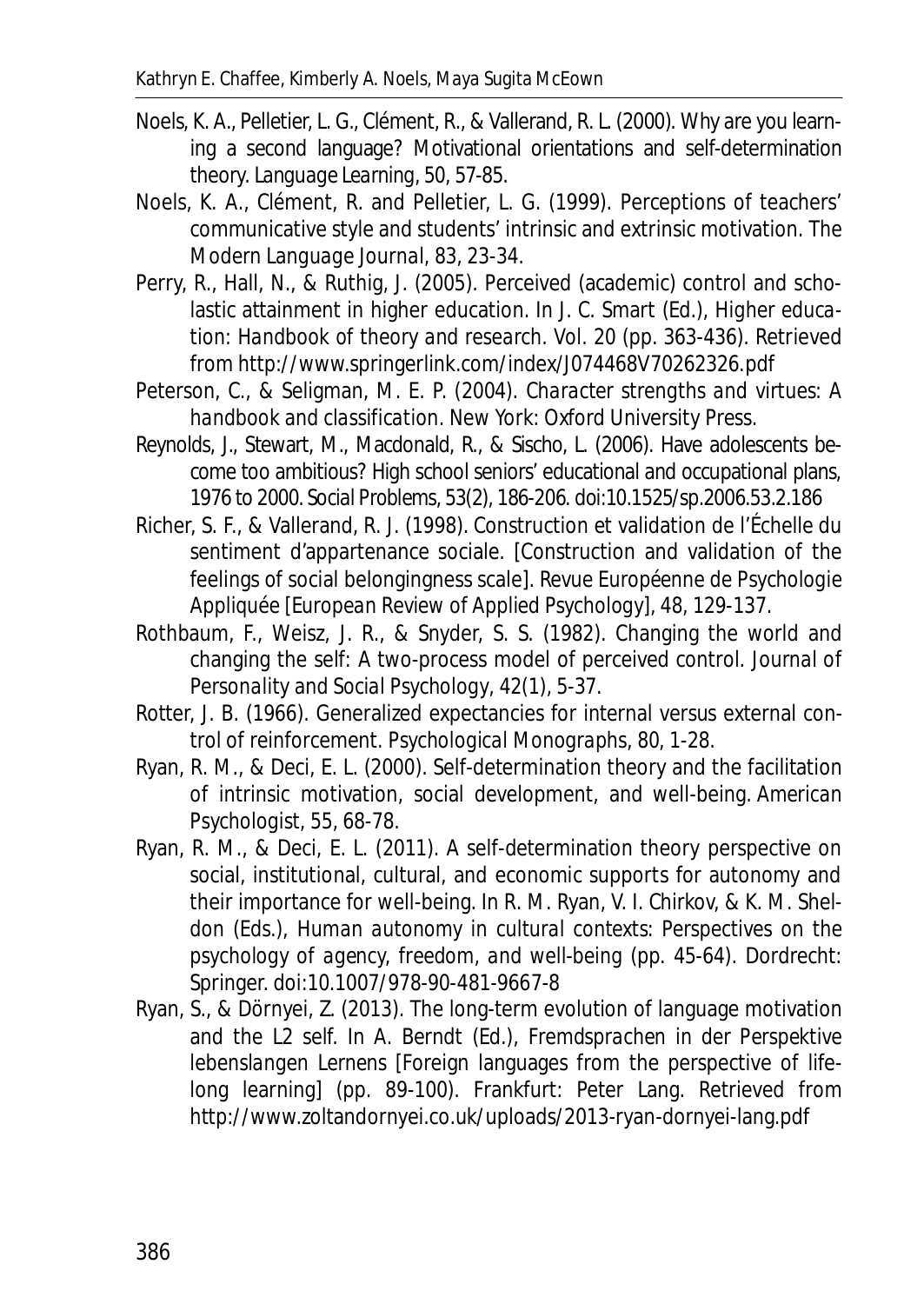- Noels, K. A., Pelletier, L. G., Clément, R., & Vallerand, R. L. (2000). Why are you learning a second language? Motivational orientations and self-determination theory. *Language Learning, 50*, 57-85.
- Noels, K. A., Clément, R. and Pelletier, L. G. (1999). Perceptions of teachers' communicative style and students' intrinsic and extrinsic motivation. *The Modern Language Journal, 83*, 23-34.
- Perry, R., Hall, N., & Ruthig, J. (2005). Perceived (academic) control and scholastic attainment in higher education. In J. C. Smart (Ed.), *Higher education: Handbook of theory and research. Vol. 20* (pp. 363-436). Retrieved from http://www.springerlink.com/index/J074468V70262326.pdf
- Peterson, C., & Seligman, M. E. P. (2004). *Character strengths and virtues: A handbook and classification*. New York: Oxford University Press.
- Reynolds, J., Stewart, M., Macdonald, R., & Sischo, L. (2006). Have adolescents become too ambitious? High school seniors' educational and occupational plans, 1976 to 2000. *Social Problems*, *53*(2), 186-206. doi:10.1525/sp.2006.53.2.186
- Richer, S. F., & Vallerand, R. J. (1998). Construction et validation de l'Échelle du sentiment d'appartenance sociale. [Construction and validation of the feelings of social belongingness scale]. *Revue Européenne de Psychologie Appliquée [European Review of Applied Psychology], 48*, 129-137.
- Rothbaum, F., Weisz, J. R., & Snyder, S. S. (1982). Changing the world and changing the self: A two-process model of perceived control. *Journal of Personality and Social Psychology*, *42*(1), 5-37.
- Rotter, J. B. (1966). Generalized expectancies for internal versus external control of reinforcement. *Psychological Monographs*, *80*, 1-28.
- Ryan, R. M., & Deci, E. L. (2000). Self-determination theory and the facilitation of intrinsic motivation, social development, and well-being. *American Psychologist*, *55*, 68-78.
- Ryan, R. M., & Deci, E. L. (2011). A self-determination theory perspective on social, institutional, cultural, and economic supports for autonomy and their importance for well-being. In R. M. Ryan, V. I. Chirkov, & K. M. Sheldon (Eds.), *Human autonomy in cultural contexts: Perspectives on the psychology of agency, freedom, and well-being* (pp. 45-64). Dordrecht: Springer. doi:10.1007/978-90-481-9667-8
- Ryan, S., & Dörnyei, Z. (2013). The long-term evolution of language motivation and the L2 self. In A. Berndt (Ed.), *Fremdsprachen in der Perspektive lebenslangen Lernens* [Foreign languages from the perspective of lifelong learning] (pp. 89-100). Frankfurt: Peter Lang. Retrieved from http://www.zoltandornyei.co.uk/uploads/2013-ryan-dornyei-lang.pdf